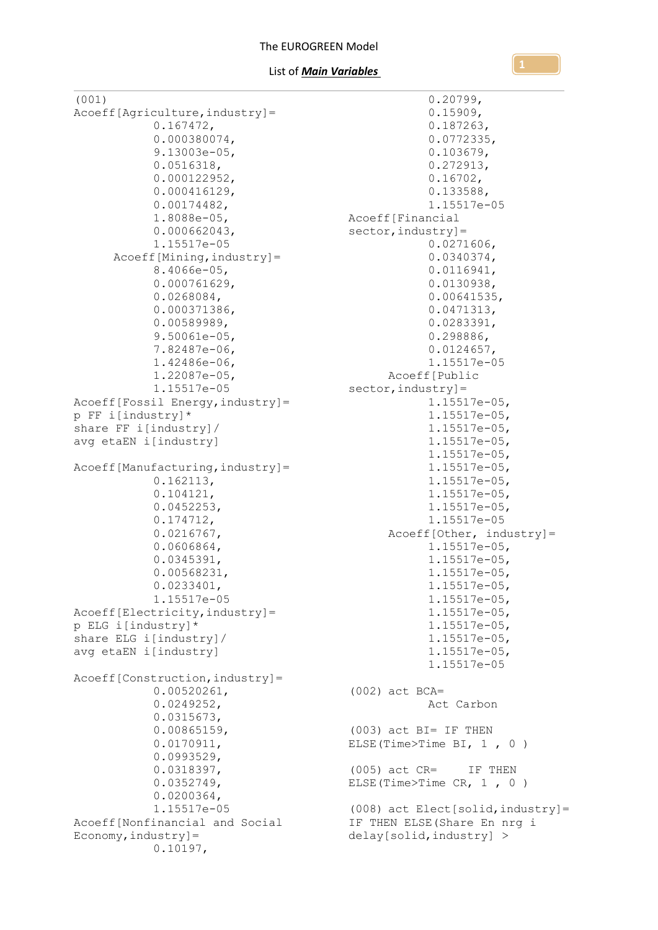```
(001)
Acoeff[Agriculture,industry]=
            0.167472,
            0.000380074,
            9.13003e-05,
            0.0516318,
            0.000122952,
            0.000416129,
            0.00174482,
            1.8088e-05,
            0.000662043,
            1.15517e-05
      Acoeff[Mining,industry]=
            8.4066e-05,
            0.000761629,
            0.0268084,
            0.000371386,
            0.00589989,
            9.50061e-05,
            7.82487e-06,
            1.42486e-06,
            1.22087e-05,
            1.15517e-05
Acoeff[Fossil Energy, industry]=
p FF i[industry]*
share FF i[industry]/
avg etaEN i[industry]
Acoeff[Manufacturing,industry]=
            0.162113,
            0.104121,
            0.0452253,
            0.174712,
            0.0216767,
            0.0606864,
            0.0345391,
            0.00568231,
            0.0233401,
            1.15517e-05
Acoeff[Electricity,industry]=
p ELG i[industry]*
share ELG i[industry]/
avg etaEN i[industry]
Acoeff[Construction,industry]=
            0.00520261,
            0.0249252,
            0.0315673,
            0.00865159,
            0.0170911,
            0.0993529,
            0.0318397,
            0.0352749,
            0.0200364,
            1.15517e-05
Acoeff[Nonfinancial and Social 
E_{\text{conomy, industry}}]=
            0.10197,
                                                     0.20799,
                                                     0.15909,
                                                     0.187263,
                                                     0.0772335,
                                                     0.103679,
                                                     0.272913,
                                                     0.16702,
                                                     0.133588,
                                                     1.15517e-05
                                         Acoeff[Financial 
                                         sector, industry] =
                                                     0.0271606,
                                                     0.0340374,
                                                     0.0116941,
                                                     0.0130938,
                                                     0.00641535,
                                                     0.0471313,
                                                     0.0283391,
                                                     0.298886,
                                                     0.0124657,
                                                     1.15517e-05
                                              Acoeff[Public 
                                        sector, industry] =
                                                     1.15517e-05,
                                                     1.15517e-05,
                                                     1.15517e-05,
                                                     1.15517e-05,
                                                     1.15517e-05,
                                                     1.15517e-05,
                                                     1.15517e-05,
                                                     1.15517e-05,
                                                     1.15517e-05,
                                                     1.15517e-05
                                               Acoeff[Other, industry]=
                                                     1.15517e-05,
                                                     1.15517e-05,
                                                     1.15517e-05,
                                                     1.15517e-05,
                                                     1.15517e-05,
                                                     1.15517e-05,
                                                     1.15517e-05,
                                                     1.15517e-05,
                                                     1.15517e-05,
                                                     1.15517e-05
                                        (002) act BCA=
                                                     Act Carbon
                                         (003) act BI= IF THEN 
                                         ELSE(Time>Time BI, 1 , 0 )
                                         (005) act CR= IF THEN 
                                         ELSE(Time>Time CR, 1 , 0 )
                                        (008) act Elect[solid,industry]=
                                       IF THEN ELSE(Share En nrg i
                                        delay[solid,industry] >
```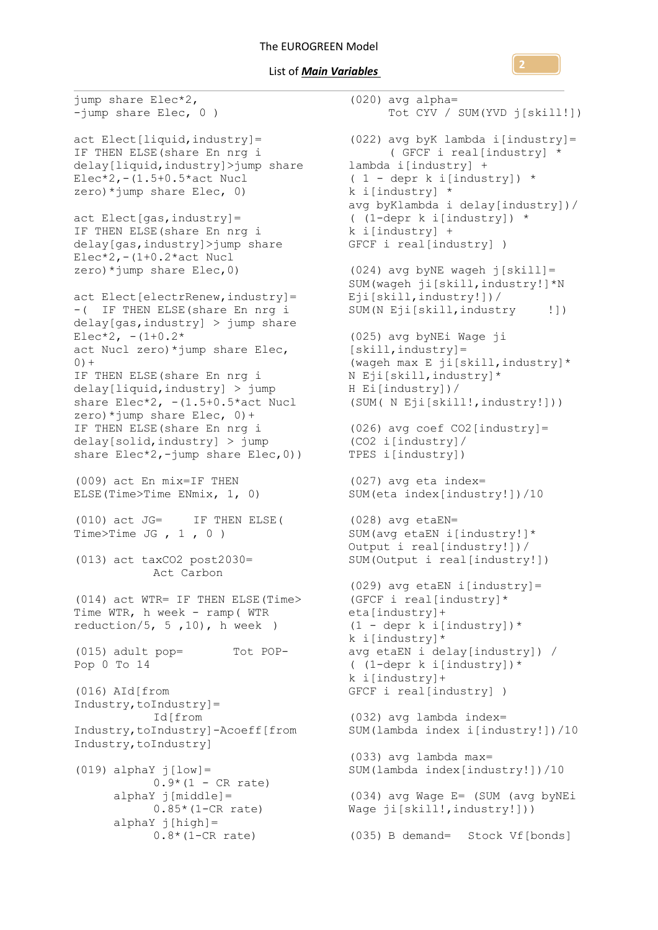### List of *Main Variables*

jump share Elec\*2, -jump share Elec, 0 ) act Elect[liquid,industry]= IF THEN ELSE(share En nrg i delay[liquid,industry]>jump share lambda i[industry] +  $Elec*2, -(1.5+0.5*act Nuc1)$ zero)\*jump share Elec, 0) act Elect[gas,industry]= IF THEN ELSE(share En nrg i delay[gas,industry]>jump share  $Elec*2, - (1+0.2*act Nucl$ zero)\*jump share Elec,0) act Elect[electrRenew, industry]= -( IF THEN ELSE(share En nrg i delay[gas,industry] > jump share  $Elec*2, - (1+0.2*)$ act Nucl zero)\*jump share Elec,  $0) +$ IF THEN ELSE(share En nrg i delay[liquid,industry] > jump share Elec $*2$ ,  $-(1.5+0.5*act$  Nucl zero)\*jump share Elec, 0)+ IF THEN ELSE(share En nrg i delay[solid,industry] > jump share Elec\*2,-jump share Elec, 0)) (009) act En mix=IF THEN ELSE(Time>Time ENmix, 1, 0) (010) act JG= IF THEN ELSE( Time>Time JG , 1 , 0 ) (013) act taxCO2 post2030= Act Carbon (014) act WTR= IF THEN ELSE(Time> Time WTR, h week - ramp( WTR reduction/5, 5, 10),  $\overline{h}$  week ) (015) adult pop= Tot POP-Pop 0 To 14 (016) AId[from Industry,toIndustry]= Id[from Industry,toIndustry]-Acoeff[from Industry,toIndustry]  $(019)$  alphaY  $j[low] =$  $0.9*(1 - CR rate)$ alphaY j[middle]= 0.85\*(1-CR rate) alphaY j[high]=

0.8\*(1-CR rate) (035) B demand= Stock Vf[bonds](020) avg alpha= Tot CYV / SUM(YVD j[skill!]) (022) avg byK lambda i[industry]= ( GFCF i real[industry] \* ( 1 - depr k i[industry]) \* k i[industry] \* avg byKlambda i delay[industry])/ ( (1-depr k i[industry]) \* k i[industry] + GFCF i real[industry] ) (024) avg byNE wageh j[skill]= SUM(wageh ji[skill,industry!]\*N Eji[skill,industry!])/ SUM(N Eji[skill,industry !]) (025) avg byNEi Wage ji [skill,industry]= (wageh max E ji[skill,industry]\* N Eji[skill,industry]\* H Ei[industry])/ (SUM( N Eji[skill!,industry!])) (026) avg coef CO2[industry]= (CO2 i[industry]/ TPES i[industry]) (027) avg eta index= SUM(eta index[industry!])/10 (028) avg etaEN= SUM(avg etaEN i[industry!]\* Output i real[industry!])/ SUM(Output i real[industry!]) (029) avg etaEN i[industry]= (GFCF i real[industry]\* eta[industry]+  $(1 - \text{depr k } i[\text{industry}])$ \* k i[industry]\* avg etaEN i delay[industry]) / ( (1-depr k i[industry])\* k i[industry]+ GFCF i real[industry] ) (032) avg lambda index= SUM(lambda index i[industry!])/10 (033) avg lambda max= SUM(lambda index[industry!])/10 (034) avg Wage E= (SUM (avg byNEi Wage ji[skill!, industry!]))

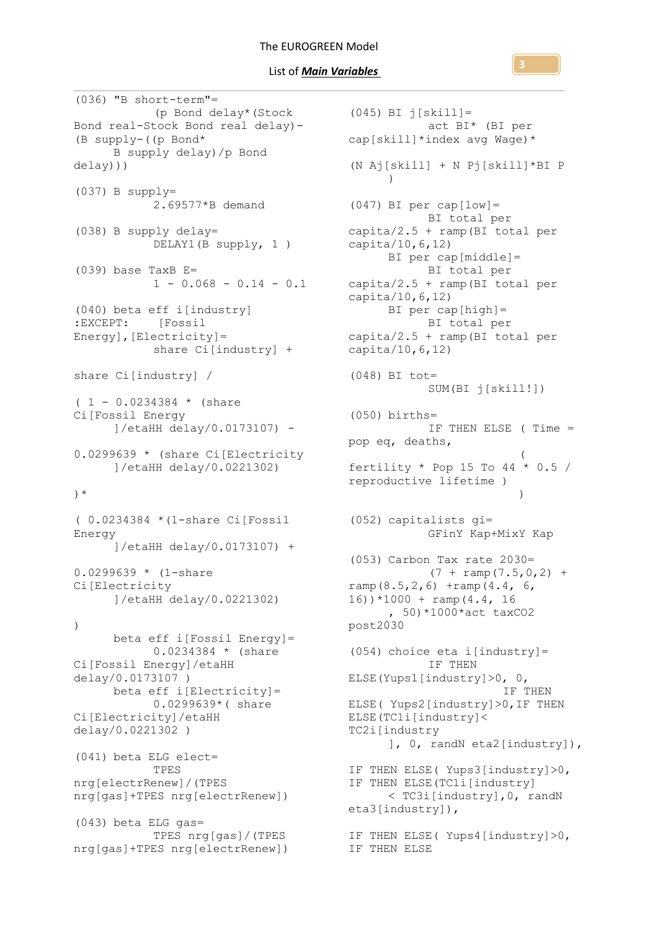(036) "B short-term"= (p Bond delay\*(Stock Bond real-Stock Bond real delay)- (B supply-((p Bond\* B supply delay)/p Bond delay))) (037) B supply= 2.69577\*B demand (038) B supply delay= DELAY1(B supply, 1 ) (039) base TaxB E=  $1 - 0.068 - 0.14 - 0.1$ (040) beta eff i[industry] :EXCEPT: [Fossil Energy],[Electricity]= share Ci[industry] + share Ci[industry] /  $(1 - 0.0234384 * (share$ Ci[Fossil Energy ]/etaHH delay/0.0173107) - 0.0299639 \* (share Ci[Electricity ]/etaHH delay/0.0221302) )\* ( 0.0234384 \*(1-share Ci[Fossil Energy ]/etaHH delay/0.0173107) + 0.0299639 \* (1-share Ci[Electricity ]/etaHH delay/0.0221302)  $\lambda$ beta eff i[Fossil Energy]= 0.0234384 \* (share Ci[Fossil Energy]/etaHH delay/0.0173107 ) beta eff i[Electricity]= 0.0299639\*( share Ci[Electricity]/etaHH delay/0.0221302 ) (041) beta ELG elect= TPES nrg[electrRenew]/(TPES nrg[gas]+TPES nrg[electrRenew]) (043) beta ELG gas= TPES nrg[gas]/(TPES nrg[gas]+TPES nrg[electrRenew])

(045) BI j[skill]= act BI\* (BI per cap[skill]\*index avg Wage)\* (N Aj[skill] + N Pj[skill]\*BI P )  $(047)$  BI per cap $[low] =$ BI total per capita/2.5 + ramp(BI total per capita/10,6,12) BI per cap[middle]= BI total per capita/2.5 + ramp(BI total per capita/10,6,12) BI per cap[high]= BI total per capita/2.5 + ramp(BI total per capita/10,6,12) (048) BI tot= SUM(BI j[skill!]) (050) births= IF THEN ELSE ( Time = pop eq, deaths,  $\overline{\phantom{a}}$ fertility  $*$  Pop 15 To 44  $*$  0.5 / reproductive lifetime )  $)$ (052) capitalists gi= GFinY Kap+MixY Kap (053) Carbon Tax rate 2030=  $(7 + \text{ramp}(7.5, 0, 2) +$ ramp $(8.5, 2, 6)$  +ramp $(4.4, 6, 6)$ 16))\*1000 + ramp(4.4, 16 , 50)\*1000\*act taxCO2 post2030 (054) choice eta i[industry]= IF THEN ELSE(Yups1[industry]>0, 0, IF THEN ELSE( Yups2[industry]>0,IF THEN ELSE(TC1i[industry]< TC2i[industry ], 0, randN eta2[industry]), IF THEN ELSE( Yups3[industry]>0, IF THEN ELSE(TC1i[industry] < TC3i[industry],0, randN eta3[industry]), IF THEN ELSE( Yups4[industry]>0, IF THEN ELSE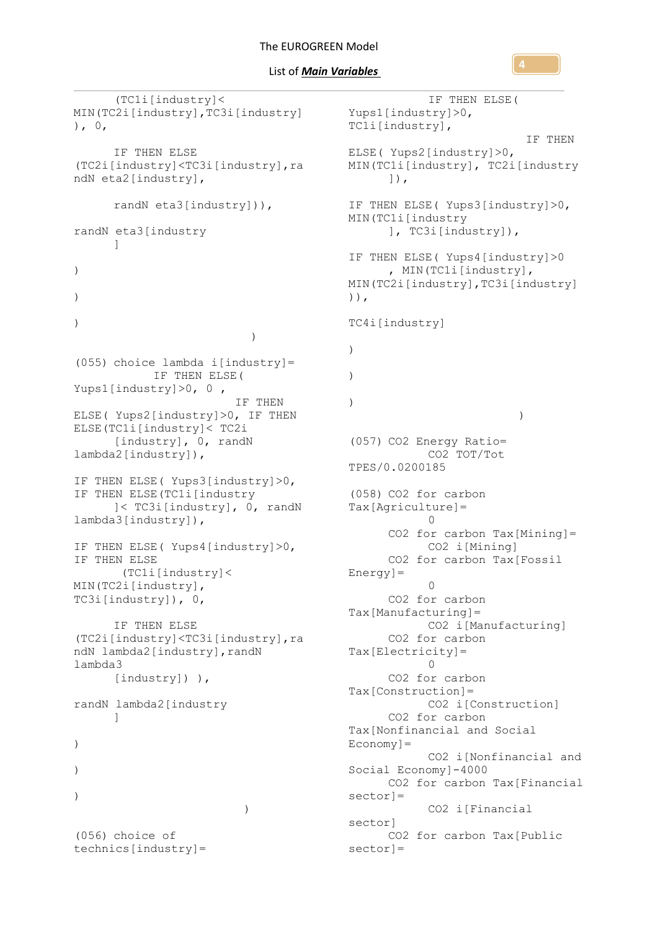```
(TC1i[industry]< 
MIN(TC2i[industry],TC3i[industry]
), 0,IF THEN ELSE 
(TC2i[industry]<TC3i[industry],ra
ndN eta2[industry],
     randN eta3[industry])), 
randN eta3[industry
     ] 
)
)
\lambda)(055) choice lambda i[industry]=
           IF THEN ELSE( 
Yups1[industry]>0, 0 , 
                        IF THEN 
ELSE( Yups2[industry]>0, IF THEN 
ELSE(TC1i[industry]< TC2i
     [industry], 0, randN 
lambda2[industry]), 
IF THEN ELSE( Yups3[industry]>0, 
IF THEN ELSE(TC1i[industry
     ]< TC3i[industry], 0, randN 
lambda3[industry]), 
IF THEN ELSE( Yups4[industry]>0, 
IF THEN ELSE
      (TC1i[industry]< 
MIN(TC2i[industry], 
TC3i[industry]), 0, 
      IF THEN ELSE 
(TC2i[industry]<TC3i[industry],ra
ndN lambda2[industry], randN
lambda3
     [industry]) ), 
randN lambda2[industry
     ] 
)
)
)
            )(056) choice of
```
technics[industry]=

IF THEN ELSE( Yups1[industry]>0, TC1i[industry], IF THEN ELSE( Yups2[industry]>0, MIN(TC1i[industry], TC2i[industry ]), IF THEN ELSE( Yups3[industry]>0, MIN(TC1i[industry ], TC3i[industry]), IF THEN ELSE( Yups4[industry]>0 , MIN(TC1i[industry], MIN(TC2i[industry],TC3i[industry] )), TC4i[industry] )  $\lambda$ )  $)$ (057) CO2 Energy Ratio= CO2 TOT/Tot TPES/0.0200185 (058) CO2 for carbon Tax[Agriculture]=  $\Omega$ CO2 for carbon Tax[Mining]= CO2 i[Mining] CO2 for carbon Tax[Fossil Energy]=  $\Omega$ CO2 for carbon Tax[Manufacturing]= CO2 i[Manufacturing] CO2 for carbon Tax[Electricity]=  $\cap$ CO2 for carbon Tax[Construction]= CO2 i[Construction] CO2 for carbon Tax[Nonfinancial and Social  $E_{\text{conomy}}$ ] = CO2 i[Nonfinancial and Social Economy]-4000 CO2 for carbon Tax[Financial sector]= CO2 i[Financial sector] CO2 for carbon Tax[Public sector]=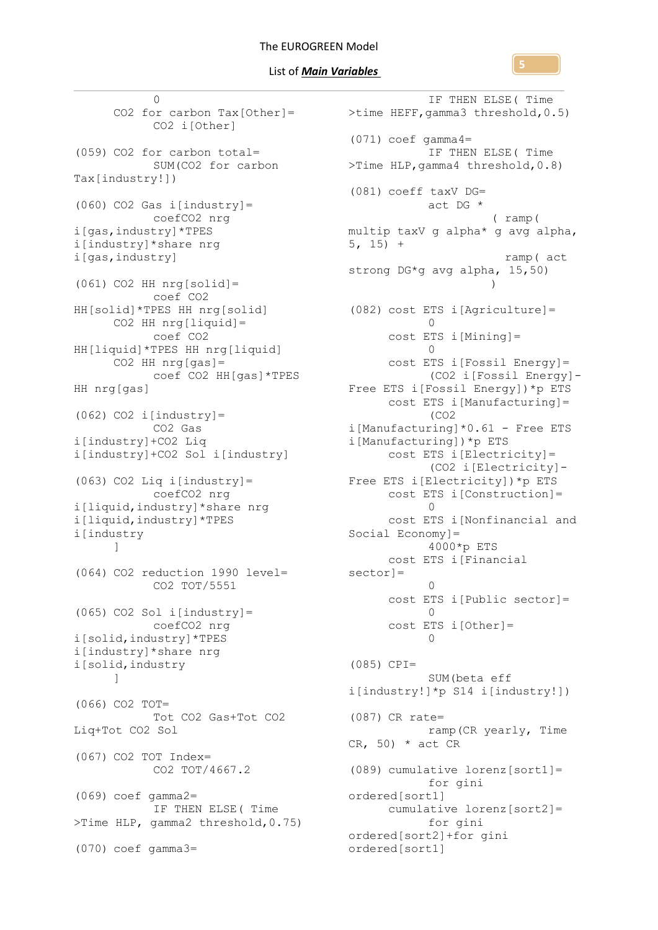0 CO2 i[Other] (059) CO2 for carbon total= SUM(CO2 for carbon Tax[industry!]) (060) CO2 Gas i[industry]= coefCO2 nrg i[gas,industry]\*TPES i[industry]\*share nrg i[gas,industry] (061) CO2 HH nrg[solid]= coef CO2 HH[solid]\*TPES HH nrg[solid]  $CO2$  HH nrg[liquid]= coef CO2 HH[liquid]\*TPES HH nrg[liquid]  $CO2$  HH nrg[gas] = coef CO2 HH[gas]\*TPES HH nrg[gas]  $(062)$  CO2 i[industry] = CO2 Gas i[industry]+CO2 Liq i[industry]+CO2 Sol i[industry] (063) CO2 Liq i[industry]= coefCO2 nrg i[liquid,industry]\*share nrg i[liquid,industry]\*TPES i[industry ] (064) CO2 reduction 1990 level= sector]= CO2 TOT/5551 (065) CO2 Sol i[industry]= coefCO2 nrg i[solid,industry]\*TPES i[industry]\*share nrg i[solid,industry ] (066) CO2 TOT= Tot CO2 Gas+Tot CO2 Liq+Tot CO2 Sol (067) CO2 TOT Index= CO2 TOT/4667.2 (069) coef gamma2= IF THEN ELSE( Time >Time HLP, gamma2 threshold,0.75) (070) coef gamma3=

CO2 for carbon Tax[Other]= >time HEFF,gamma3 threshold,0.5) IF THEN ELSE( Time  $(071)$  coef gamma4= IF THEN ELSE( Time >Time HLP,gamma4 threshold,0.8) (081) coeff taxV DG= act DG \* ( ramp( multip taxV g alpha\* g avg alpha,  $5, 15) +$  ramp( act strong DG\*g avg alpha, 15,50) ) (082) cost ETS i[Agriculture]=  $\cap$ cost ETS i[Mining]=  $\bigcap$ cost ETS i[Fossil Energy]= (CO2 i[Fossil Energy]- Free ETS i[Fossil Energy])\*p ETS cost ETS i[Manufacturing]= (CO2 i[Manufacturing]\*0.61 - Free ETS i[Manufacturing])\*p ETS cost ETS i[Electricity]= (CO2 i[Electricity]- Free ETS i[Electricity])\*p ETS cost ETS i[Construction]=  $\Omega$ cost ETS i[Nonfinancial and Social Economy]= 4000\*p ETS cost ETS i[Financial  $\Omega$ cost ETS i[Public sector]=  $\bigcirc$ cost ETS i[Other]=  $\Omega$ (085) CPI= SUM(beta eff i[industry!]\*p S14 i[industry!]) (087) CR rate= ramp(CR yearly, Time  $CR, 50) * act CR$ (089) cumulative lorenz[sort1]= for gini ordered[sort1] cumulative lorenz[sort2]= for gini ordered[sort2]+for gini ordered[sort1]

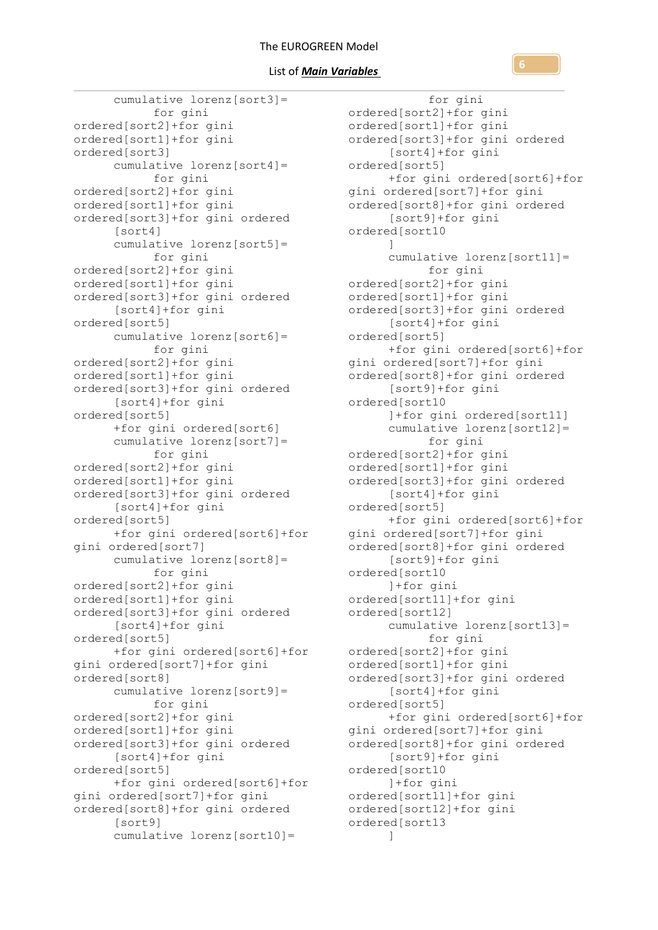### List of *Main Variables*

cumulative lorenz[sort3]= for gini ordered[sort2]+for gini ordered[sort1]+for gini ordered[sort3] cumulative lorenz[sort4]= for gini ordered[sort2]+for gini ordered[sort1]+for gini ordered[sort3]+for gini ordered [sort4] cumulative lorenz[sort5]= for gini ordered[sort2]+for gini ordered[sort1]+for gini ordered[sort3]+for gini ordered [sort4]+for gini ordered[sort5] cumulative lorenz[sort6]= for gini ordered[sort2]+for gini ordered[sort1]+for gini ordered[sort3]+for gini ordered [sort4]+for gini ordered[sort5] +for gini ordered[sort6] cumulative lorenz[sort7]= for gini ordered[sort2]+for gini ordered[sort1]+for gini ordered[sort3]+for gini ordered [sort4]+for gini ordered[sort5] +for gini ordered[sort6]+for gini ordered[sort7] cumulative lorenz[sort8]= for gini ordered[sort2]+for gini ordered[sort1]+for gini ordered[sort3]+for gini ordered [sort4]+for gini ordered[sort5] +for gini ordered[sort6]+for gini ordered[sort7]+for gini ordered[sort8] cumulative lorenz[sort9]= for gini ordered[sort2]+for gini ordered[sort1]+for gini ordered[sort3]+for gini ordered [sort4]+for gini ordered[sort5] +for gini ordered[sort6]+for gini ordered[sort7]+for gini ordered[sort8]+for gini ordered [sort9] cumulative lorenz[sort10]=

for gini ordered[sort2]+for gini ordered[sort1]+for gini ordered[sort3]+for gini ordered [sort4]+for gini ordered[sort5] +for gini ordered[sort6]+for gini ordered[sort7]+for gini ordered[sort8]+for gini ordered [sort9]+for gini ordered[sort10 ] cumulative lorenz[sort11]= for gini ordered[sort2]+for gini ordered[sort1]+for gini ordered[sort3]+for gini ordered [sort4]+for gini ordered[sort5] +for gini ordered[sort6]+for gini ordered[sort7]+for gini ordered[sort8]+for gini ordered [sort9]+for gini ordered[sort10 ]+for gini ordered[sort11] cumulative lorenz[sort12]= for gini ordered[sort2]+for gini ordered[sort1]+for gini ordered[sort3]+for gini ordered [sort4]+for gini ordered[sort5] +for gini ordered[sort6]+for gini ordered[sort7]+for gini ordered[sort8]+for gini ordered [sort9]+for gini ordered[sort10 ]+for gini ordered[sort11]+for gini ordered[sort12] cumulative lorenz[sort13]= for gini ordered[sort2]+for gini ordered[sort1]+for gini ordered[sort3]+for gini ordered [sort4]+for gini ordered[sort5] +for gini ordered[sort6]+for gini ordered[sort7]+for gini ordered[sort8]+for gini ordered [sort9]+for gini ordered[sort10 ]+for gini ordered[sort11]+for gini ordered[sort12]+for gini ordered[sort13 ]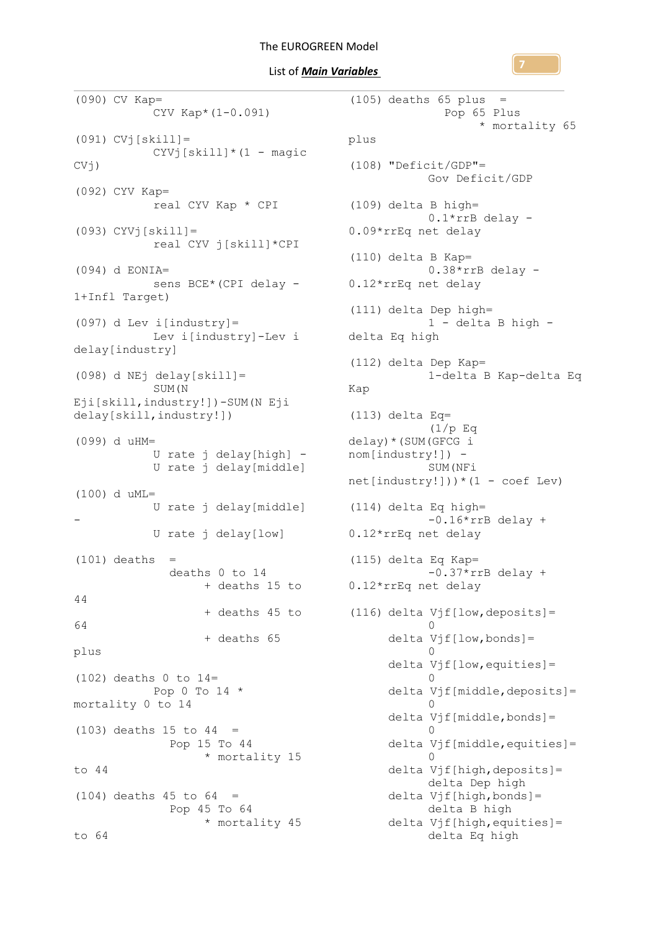List of *Main Variables* 

```
(090) CV Kap=
           CYV Kap*(1-0.091)
(091) CVj[skill]=
           CYVj[skill*(1 - magic)CVj)
(092) CYV Kap=
           real CYV Kap * CPI
(093) CYVj[ski11] =real CYV j[skill]*CPI
(094) d EONIA=
           sens BCE*(CPI delay -
1+Infl Target)
(097) d Lev i[industry] =
          Lev i[industry]-Lev i 
delay[industry]
(098) d NEj delay[skill]=
          SUM(N 
Eji[skill,industry!])-SUM(N Eji 
delay[skill,industry!])
(099) d uHM=
           U rate j delay[high] -
           U rate j delay[middle]
(100) d uML=
           U rate j delay[middle] 
-
           U rate j delay[low]
(101) deaths =
              deaths 0 to 14 
                   + deaths 15 to 
44 
       + deaths 45 to 
(116) delta Vjf[low,deposits]=
64 
                  + deaths 65 
plus
(102) deaths 0 to 14=Pop 0 To 14 *mortality 0 to 14
(103) deaths 15 to 44 =
              Pop 15 To 44 
                   * mortality 15 
to 44
(104) deaths 45 to 64 =
              Pop 45 To 64 
                   * mortality 45 
to 64
                                       plus
                                       Kap
```

```
(105) deaths 65 plus =
               Pop 65 Plus 
                     * mortality 65 
 (108) "Deficit/GDP"=
            Gov Deficit/GDP
(109) delta B high=
            0.1*rrB delay -
0.09*rrEq net delay
(110) delta B Kap=
            0.38*rrB delay -
0.12*rrEq net delay
(111) delta Dep high=
            1 - delta B high -
delta Eq high
(112) delta Dep Kap=
            1-delta B Kap-delta Eq 
 (113) delta Eq=
            (1/p Eq 
delay)*(SUM(GFCG i 
nom[industry!]) -
            SUM(NFi 
net[industry!])) * (1 - coef Lev)
(114) delta Eq high=
            -0.16*rrB delay +
0.12*rrEq net delay
 (115) delta Eq Kap=
            -0.37*rrB delay +
0.12*rrEq net delay
            \capdelta Vjf[low,bonds]=
            \capdelta Vjf[low,equities]=
            \bigcircdelta Vjf[middle,deposits]=
            \bigcapdelta Vjf[middle,bonds]=
            \capdelta Vjf[middle,equities]=
            \Omegadelta Vjf[high,deposits]=
            delta Dep high
      delta Vjf[high,bonds]=
            delta B high
      delta Vjf[high,equities]=
            delta Eq high
```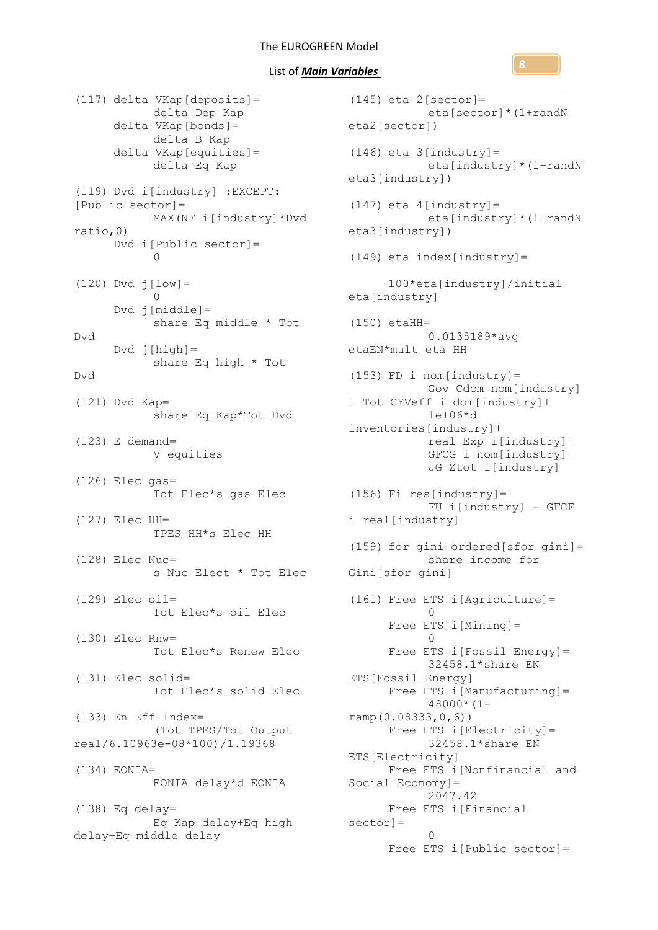List of *Main Variables* 

(117) delta VKap[deposits]= delta Dep Kap delta VKap[bonds]= delta B Kap delta VKap[equities]= delta Eq Kap (119) Dvd i[industry] :EXCEPT: [Public sector]= MAX(NF i[industry]\*Dvd ratio,0) Dvd i[Public sector]=  $\Omega$  $(120)$  Dvd  $j[low] =$  $\Omega$ Dvd j[middle]= share Eq middle \* Tot Dvd  $Dvd \ j[high] =$ share Eq high \* Tot Dvd (121) Dvd Kap= share Eq Kap\*Tot Dvd (123) E demand= V equities (126) Elec gas= Tot Elec\*s gas Elec (127) Elec HH= TPES HH\*s Elec HH (128) Elec Nuc= s Nuc Elect \* Tot Elec (129) Elec oil= Tot Elec\*s oil Elec (130) Elec Rnw= Tot Elec\*s Renew Elec (131) Elec solid= Tot Elec\*s solid Elec (133) En Eff Index= (Tot TPES/Tot Output real/6.10963e-08\*100)/1.19368 (134) EONIA= EONIA delay\*d EONIA  $(138)$  Eq delay= Eq Kap delay+Eq high sector]= delay+Eq middle delay

```
(145) eta 2[sector]=
                   eta[sector]*(1+randN 
        eta2[sector])
        (146) eta 3[industry]=
                    eta[industry]*(1+randN 
        eta3[industry])
        (147) eta 4[industry]=
                    eta[industry]*(1+randN 
        eta3[industry])
        (149) eta index[industry]=
              100*eta[industry]/initial 
        eta[industry]
        (150) etaHH=
                   0.0135189*avg 
        etaEN*mult eta HH
        (153) FD i nom[industry]=
                   Gov Cdom nom[industry] 
        + Tot CYVeff i dom[industry]+
                    1e+06*d 
        inventories[industry]+
                    real Exp i[industry]+
                    GFCG i nom[industry]+
                    JG Ztot i[industry]
       (156) Fi res[industry]=
                    FU i[industry] - GFCF 
        i real[industry]
        (159) for gini ordered[sfor gini]=
                    share income for 
        Gini[sfor gini]
        (161) Free ETS i[Agriculture]=
                    \OmegaFree ETS i[Mining]=
                    \bigcapFree ETS i[Fossil Energy]=
                   32458.1*share EN 
        ETS[Fossil Energy]
              Free ETS i[Manufacturing]=
                    48000*(1-
        ramp(0.08333,0,6))
              Free ETS i[Electricity]=
                    32458.1*share EN 
        ETS[Electricity]
              Free ETS i[Nonfinancial and 
        Social Economy]=
                    2047.42
              Free ETS i[Financial 
                    \capFree ETS i[Public sector]=
```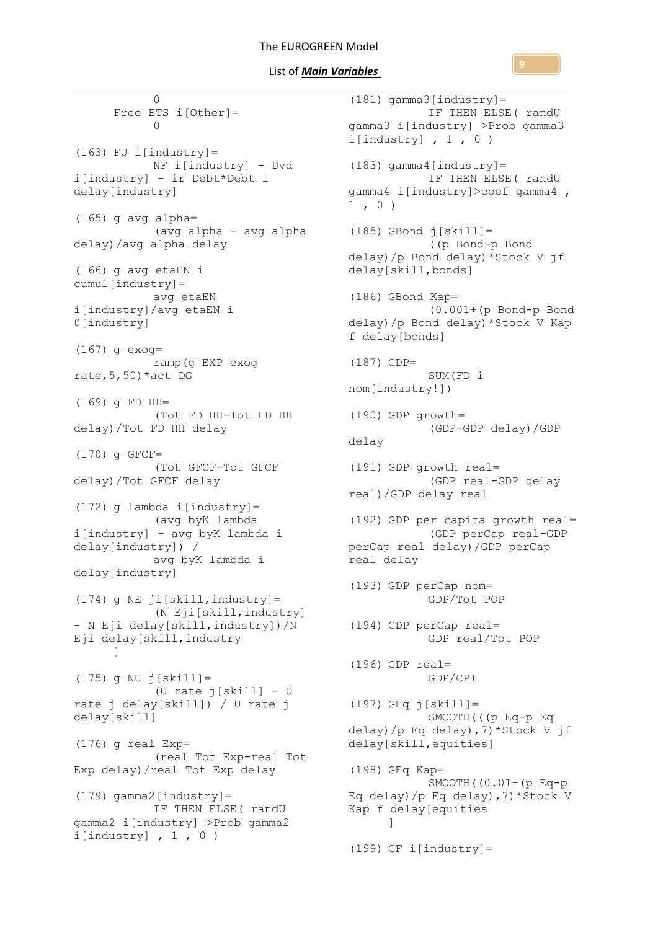$\bigcirc$ Free ETS i[Other]=  $\cap$  $(163)$  FU i[industry]= NF i[industry] - Dvd i[industry] - ir Debt\*Debt i delay[industry] (165) g avg alpha= (avg alpha - avg alpha delay)/avg alpha delay (166) g avg etaEN i cumul[industry]= avg etaEN i[industry]/avg etaEN i 0[industry] (167) g exog= ramp(g EXP exog rate,  $5,50$ ) \*act DG (169) g FD HH= (Tot FD HH-Tot FD HH delay)/Tot FD HH delay (170) g GFCF= (Tot GFCF-Tot GFCF delay)/Tot GFCF delay (172) g lambda i[industry]= (avg byK lambda i[industry] - avg byK lambda i delay[industry]) / avg byK lambda i delay[industry]  $(174)$  g NE ji[skill, industry] = (N Eji[skill,industry] - N Eji delay[skill,industry])/N Eji delay[skill,industry ] (175) g NU j[skill]= (U rate j[skill] - U rate j delay[skill]) / U rate j delay[skill]  $(176)$  g real Exp= (real Tot Exp-real Tot Exp delay)/real Tot Exp delay  $(179)$  gamma2 [industry] = IF THEN ELSE( randU gamma2 i[industry] >Prob gamma2 i $[industry]$ , 1, 0) 1 , 0 ) delay ]

 $(181)$  gamma3[industry]= IF THEN ELSE( randU gamma3 i[industry] >Prob gamma3 i[industry],  $1, 0)$  $(183)$  gamma4[industry]= IF THEN ELSE( randU gamma4 i[industry]>coef gamma4 ,  $(185)$  GBond  $j[skill]=$ ((p Bond-p Bond delay)/p Bond delay)\*Stock V jf delay[skill,bonds] (186) GBond Kap= (0.001+(p Bond-p Bond delay)/p Bond delay)\*Stock V Kap f delay[bonds] (187) GDP= SUM(FD i nom[industry!]) (190) GDP growth= (GDP-GDP delay)/GDP (191) GDP growth real= (GDP real-GDP delay real)/GDP delay real (192) GDP per capita growth real= (GDP perCap real-GDP perCap real delay)/GDP perCap real delay (193) GDP perCap nom= GDP/Tot POP (194) GDP perCap real= GDP real/Tot POP (196) GDP real= GDP/CPI (197) GEq j[skill]= SMOOTH(((p Eq-p Eq delay)/p Eq delay),7)\*Stock V jf delay[skill,equities] (198) GEq Kap= SMOOTH((0.01+(p Eq-p Eq delay)/p Eq delay),7)\*Stock V Kap f delay[equities  $(199)$  GF i[industry]=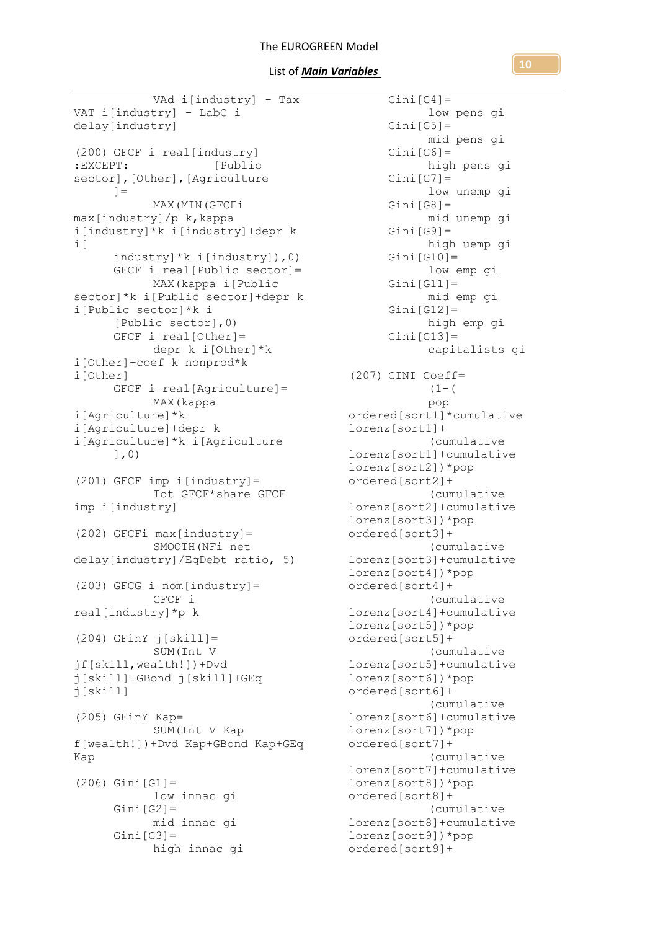### List of *Main Variables*

VAd i[industry] - Tax VAT i[industry] - LabC i delay[industry] (200) GFCF i real[industry] :EXCEPT: [Public sector], [Other], [Agriculture  $1=$ MAX(MIN(GFCFi max[industry]/p k,kappa i[industry]\*k i[industry]+depr k i[ industry]\*k i[industry]),0) GFCF i real[Public sector]= MAX(kappa i[Public sector]\*k i[Public sector]+depr k i[Public sector]\*k i [Public sector],0) GFCF i real[Other]= depr k i[Other]\*k i[Other]+coef k nonprod\*k i[Other] GFCF i real[Agriculture]= MAX(kappa i[Agriculture]\*k i[Agriculture]+depr k i[Agriculture]\*k i[Agriculture ],0) (201) GFCF imp i[industry]= Tot GFCF\*share GFCF imp i[industry] (202) GFCFi max[industry]= SMOOTH(NFi net delay[industry]/EqDebt ratio, 5) (203) GFCG i nom[industry]= GFCF i real[industry]\*p k  $(204)$  GFinY  $\overline{1}$ [skill]= SUM(Int V jf[skill,wealth!])+Dvd j[skill]+GBond j[skill]+GEq j[skill] (205) GFinY Kap= SUM(Int V Kap f[wealth!])+Dvd Kap+GBond Kap+GEq Kap  $(206)$  Gini $[G1] =$ low innac gi  $Gini[G2]=$ mid innac gi  $Gini[G3]=$ high innac gi

 $Gini[G4]=$ low pens gi  $Gini[G5]=$ mid pens gi  $Gini[G6]=$ high pens gi  $Gini[G7]=$ low unemp gi  $Gini[G8]=$ mid unemp gi  $Gini[G9] =$ high uemp gi  $Gini[G10]=$ low emp gi  $Gini[G11]=$ mid emp gi  $Gini[G12]=$ high emp gi  $Gini[G13]=$ capitalists gi (207) GINI Coeff=  $(1 - ($ pop ordered[sort1]\*cumulative lorenz[sort1]+ (cumulative lorenz[sort1]+cumulative lorenz[sort2])\*pop ordered[sort2]+ (cumulative lorenz[sort2]+cumulative lorenz[sort3])\*pop ordered[sort3]+ (cumulative lorenz[sort3]+cumulative lorenz[sort4])\*pop ordered[sort4]+ (cumulative lorenz[sort4]+cumulative lorenz[sort5])\*pop ordered[sort5]+ (cumulative lorenz[sort5]+cumulative lorenz[sort6])\*pop ordered[sort6]+ (cumulative lorenz[sort6]+cumulative lorenz[sort7])\*pop ordered[sort7]+ (cumulative lorenz[sort7]+cumulative lorenz[sort8])\*pop ordered[sort8]+ (cumulative lorenz[sort8]+cumulative lorenz[sort9])\*pop ordered[sort9]+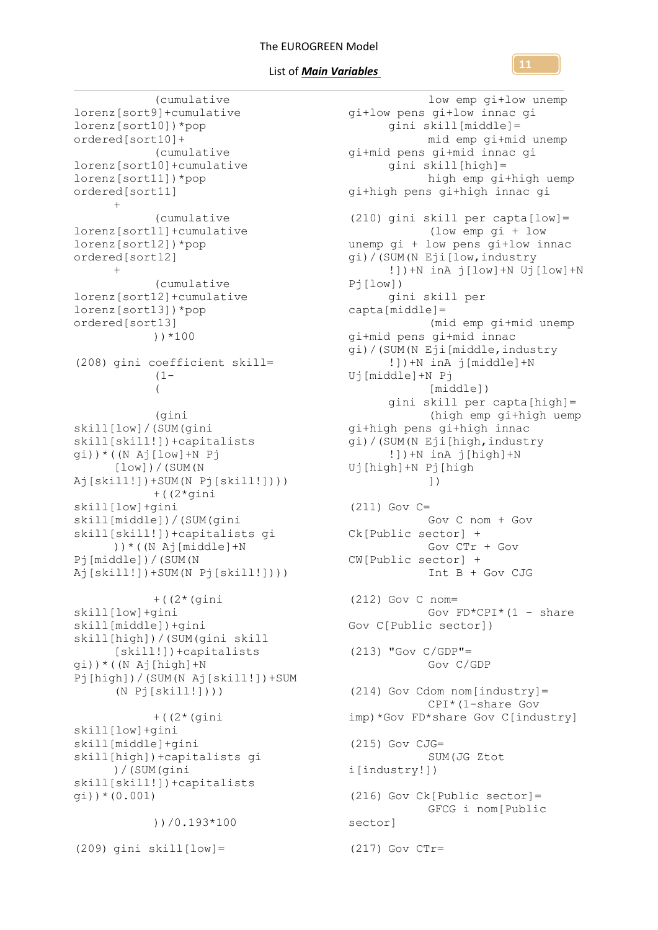### List of *Main Variables*

(cumulative lorenz[sort9]+cumulative lorenz[sort10])\*pop ordered[sort10]+ (cumulative lorenz[sort10]+cumulative lorenz[sort11])\*pop ordered[sort11] + (cumulative lorenz[sort11]+cumulative lorenz[sort12])\*pop ordered[sort12] + (cumulative lorenz[sort12]+cumulative lorenz[sort13])\*pop ordered[sort13] ))\*100 (208) gini coefficient skill=  $(1 -$ ( (gini skill[low]/(SUM(gini skill[skill!])+capitalists gi))\*((N Aj[low]+N Pj [low])/(SUM(N Aj[skill!])+SUM(N Pj[skill!]))) +((2\*gini skill[low]+gini skill[middle])/(SUM(gini skill[skill!])+capitalists gi ))\*((N Aj[middle]+N Pj[middle])/(SUM(N Aj[skill!])+SUM(N Pj[skill!]))) +((2\*(gini skill[low]+gini skill[middle])+gini skill[high])/(SUM(gini skill [skill!])+capitalists gi))\*((N Aj[high]+N Pj[high])/(SUM(N Aj[skill!])+SUM  $(N Pj[skill!]))$ +((2\*(gini skill[low]+gini skill[middle]+gini skill[high])+capitalists gi )/(SUM(gini skill[skill!])+capitalists gi))\*(0.001)

))/0.193\*100

 $(209)$  gini skill $[low] =$ 

low emp gi+low unemp gi+low pens gi+low innac gi gini skill[middle]= mid emp gi+mid unemp gi+mid pens gi+mid innac gi gini skill[high]= high emp gi+high uemp gi+high pens gi+high innac gi (210) gini skill per capta[low]= (low emp gi + low unemp gi + low pens gi+low innac gi)/(SUM(N Eji[low,industry !])+N inA j[low]+N Uj[low]+N Pj[low]) gini skill per capta[middle]= (mid emp gi+mid unemp gi+mid pens gi+mid innac gi)/(SUM(N Eji[middle,industry !])+N inA j[middle]+N Uj[middle]+N Pj [middle]) gini skill per capta[high]= (high emp gi+high uemp gi+high pens gi+high innac gi)/(SUM(N Eji[high,industry !])+N inA j[high]+N Uj[high]+N Pj[high ]) (211) Gov C= Gov C nom + Gov Ck[Public sector] + Gov CTr + Gov CW[Public sector] + Int B + Gov CJG (212) Gov C nom= Gov  $FD*CPI*$  (1 - share Gov C[Public sector])  $(213)$  "Gov C/GDP"= Gov C/GDP (214) Gov Cdom nom[industry]= CPI\*(1-share Gov imp)\*Gov FD\*share Gov C[industry] (215) Gov CJG= SUM(JG Ztot i[industry!]) (216) Gov Ck[Public sector]= GFCG i nom[Public sector] (217) Gov CTr=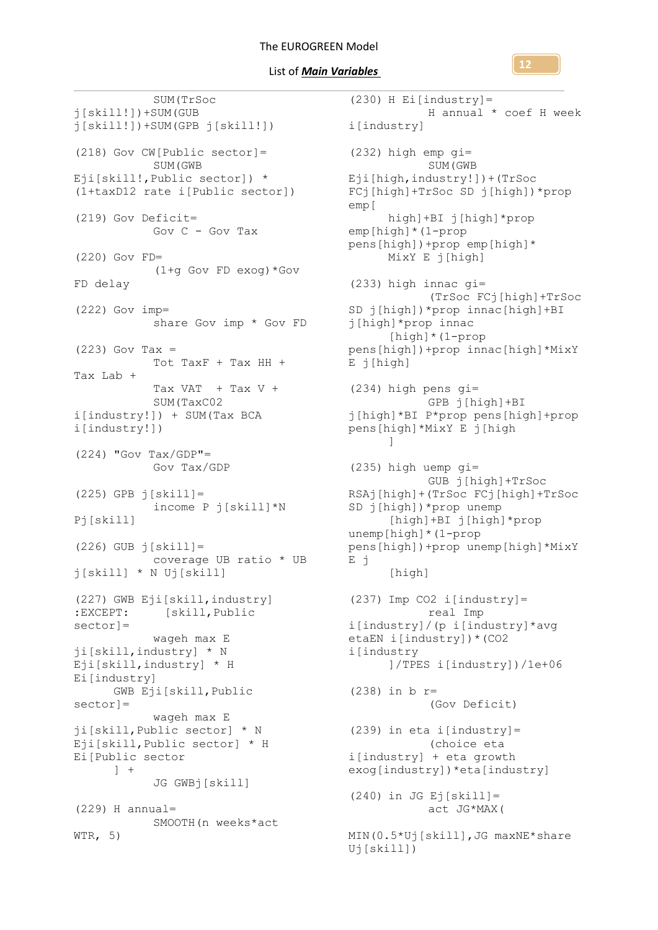### List of *Main Variables*

SUM(TrSoc j[skill!])+SUM(GUB j[skill!])+SUM(GPB j[skill!]) (218) Gov CW[Public sector]= SUM(GWB Eji[skill!, Public sector]) \* (1+taxD12 rate i[Public sector]) (219) Gov Deficit= Gov C - Gov Tax (220) Gov FD= (1+g Gov FD exog)\*Gov FD delay (222) Gov imp= share Gov imp \* Gov FD  $(223)$  Gov Tax = Tot TaxF + Tax HH + Tax Lab + Tax  $VAT$  + Tax  $V$  + SUM(TaxC02 i[industry!]) + SUM(Tax BCA i[industry!])  $(224)$  "Gov Tax/GDP"= Gov Tax/GDP (225) GPB j[skill]= income P j[skill]\*N Pj[skill]  $(226)$  GUB  $\overline{1}$ [skill]= coverage UB ratio \* UB j[skill] \* N Uj[skill] (227) GWB Eji[skill,industry] :EXCEPT: [skill,Public sector]= wageh max E ji[skill,industry] \* N Eji[skill,industry] \* H Ei[industry] GWB Eji[skill,Public sector]= wageh max E ji[skill,Public sector] \* N Eji[skill,Public sector] \* H Ei[Public sector  $\left| \quad \right|$ JG GWBj[skill]  $(229)$  H annual= SMOOTH(n weeks\*act WTR, 5)

(230) H Ei[industry]= H annual \* coef H week i[industry] (232) high emp gi= SUM(GWB Eji[high,industry!])+(TrSoc FCj[high]+TrSoc SD j[high])\*prop emp[ high]+BI j[high]\*prop emp[high]\*(1-prop pens[high])+prop emp[high]\* MixY E j[high] (233) high innac gi= (TrSoc FCj[high]+TrSoc SD j[high])\*prop innac[high]+BI j[high]\*prop innac [high]\*(1-prop pens[high])+prop innac[high]\*MixY E j[high] (234) high pens gi= GPB j[high]+BI j[high]\*BI P\*prop pens[high]+prop pens[high]\*MixY E j[high ] (235) high uemp gi= GUB j[high]+TrSoc RSAj[high]+(TrSoc FCj[high]+TrSoc SD j[high])\*prop unemp [high]+BI j[high]\*prop unemp[high]\*(1-prop pens[high])+prop unemp[high]\*MixY E j [high] (237) Imp CO2 i[industry]= real Imp i[industry]/(p i[industry]\*avg etaEN i[industry])\*(CO2 i[industry ]/TPES i[industry])/1e+06 (238) in b r= (Gov Deficit) (239) in eta i[industry]= (choice eta i[industry] + eta growth exog[industry])\*eta[industry]  $(240)$  in JG Ej[skill]= act JG\*MAX( MIN(0.5\*Uj[skill],JG maxNE\*share Uj[skill])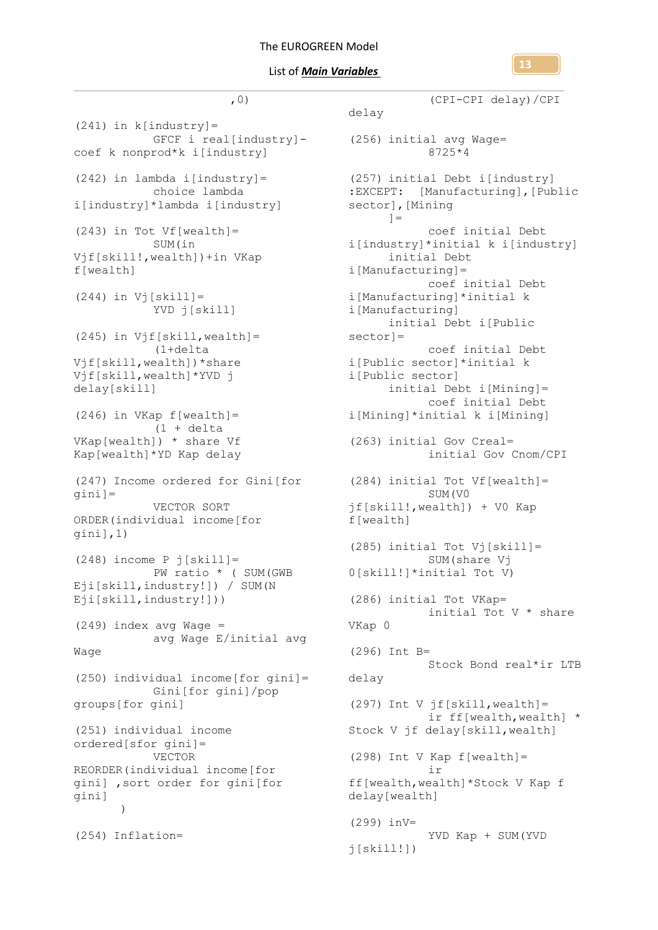,0)



 $(241)$  in k[industry]= GFCF i real[industry] - (256) initial avg Wage= coef k nonprod\*k i[industry] (242) in lambda i[industry]= choice lambda i[industry]\*lambda i[industry] (243) in Tot  $Vf[wealth] =$ SUM(in Vjf[skill!,wealth])+in VKap f[wealth]  $(244)$  in Vj[skill]= YVD j[skill]  $(245)$  in Vjf[skill, wealth]= (1+delta Vjf[skill,wealth])\*share Vjf[skill,wealth]\*YVD j delay[skill] (246) in VKap f[wealth]= (1 + delta VKap[wealth]) \* share Vf Kap[wealth]\*YD Kap delay (247) Income ordered for Gini[for gini]= VECTOR SORT ORDER(individual income[for gini],1) (248) income P j[skill]= PW ratio \* ( SUM(GWB Eji[skill,industry!]) / SUM(N Eji[skill,industry!]))  $(249)$  index avg Wage = avg Wage E/initial avg Wage (250) individual income[for gini]= Gini[for gini]/pop groups[for gini] (251) individual income ordered[sfor gini]= VECTOR REORDER(individual income[for gini] ,sort order for gini[for gini]  $\lambda$ (254) Inflation=

```
(CPI-CPI delay)/CPI 
  delay
              8725*4
 (257) initial Debt i[industry] 
  :EXCEPT: [Manufacturing],[Public 
  sector],[Mining
        =coef initial Debt 
  i[industry]*initial k i[industry]
       initial Debt 
  i[Manufacturing]=
            coef initial Debt 
  i[Manufacturing]*initial k 
  i[Manufacturing]
        initial Debt i[Public 
sector]=
             coef initial Debt 
i[Public sector]*initial k 
  i[Public sector]
        initial Debt i[Mining]=
             coef initial Debt 
  i[Mining]*initial k i[Mining]
 (263) initial Gov Creal=
             initial Gov Cnom/CPI
 (284) initial Tot Vf[wealth]=
             SUM(V0 
  jf[skill!,wealth]) + V0 Kap 
  f[wealth]
  (285) initial Tot Vj[skill]=
              SUM(share Vj 
  0[skill!]*initial Tot V)
  (286) initial Tot VKap=
             initial Tot V * share 
  VKap 0
  (296) Int B=
             Stock Bond real*ir LTB 
  delay
  (297) Int V jf[skill,wealth]=
              ir ff[wealth,wealth] * 
  Stock V jf delay[skill,wealth]
  (298) Int V Kap f[wealth]=
              ir 
  ff[wealth,wealth]*Stock V Kap f 
  delay[wealth]
  (299) inV=
              YVD Kap + SUM(YVD 
  j[skill!]
```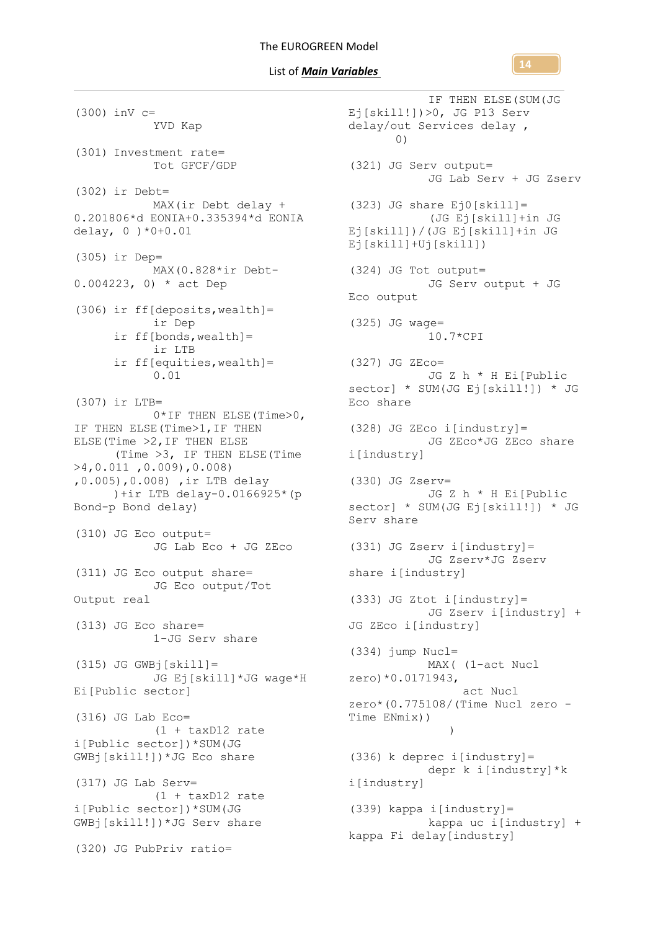**14**

IF THEN ELSE(SUM(JG

(300) inV c= YVD Kap (301) Investment rate= Tot GFCF/GDP (302) ir Debt= MAX(ir Debt delay + 0.201806\*d EONIA+0.335394\*d EONIA delay, 0 )\*0+0.01 (305) ir Dep= MAX(0.828\*ir Debt-0.004223, 0) \* act Dep (306) ir ff[deposits,wealth]= ir Dep ir ff[bonds,wealth]= ir LTB ir ff[equities,wealth]= 0.01 (307) ir LTB= 0\*IF THEN ELSE(Time>0, IF THEN ELSE(Time>1,IF THEN ELSE(Time >2,IF THEN ELSE (Time >3, IF THEN ELSE(Time >4,0.011 ,0.009),0.008) ,0.005),0.008) ,ir LTB delay )+ir LTB delay-0.0166925\*(p Bond-p Bond delay) (310) JG Eco output= JG Lab Eco + JG ZEco (311) JG Eco output share= JG Eco output/Tot Output real (313) JG Eco share= 1-JG Serv share  $(315)$  JG GWBj[skill] = JG Ej[skill]\*JG wage\*H Ei[Public sector] (316) JG Lab Eco= (1 + taxD12 rate i[Public sector])\*SUM(JG GWBj[skill!])\*JG Eco share (317) JG Lab Serv= (1 + taxD12 rate i[Public sector])\*SUM(JG GWBj[skill!])\*JG Serv share (320) JG PubPriv ratio=

Ej[skill!])>0, JG P13 Serv delay/out Services delay , 0) (321) JG Serv output= JG Lab Serv + JG Zserv (323) JG share Ej0[skill]= (JG Ej[skill]+in JG Ej[skill])/(JG Ej[skill]+in JG Ej[skill]+Uj[skill]) (324) JG Tot output= JG Serv output + JG Eco output (325) JG wage= 10.7\*CPI (327) JG ZEco= JG Z h \* H Ei[Public sector] \* SUM(JG Ej[skill!]) \* JG Eco share  $(328)$  JG ZEco i[industry]= JG ZEco\*JG ZEco share i[industry] (330) JG Zserv= JG Z h \* H Ei[Public sector] \* SUM(JG Ej[skill!]) \* JG Serv share (331) JG Zserv i[industry]= JG Zserv\*JG Zserv share i[industry] (333) JG Ztot i[industry]= JG Zserv i[industry] + JG ZEco i[industry] (334) jump Nucl= MAX( (1-act Nucl zero)\*0.0171943, act Nucl zero\*(0.775108/(Time Nucl zero - Time ENmix)) ) (336) k deprec i[industry]= depr k i[industry]\*k i[industry] (339) kappa i[industry]= kappa uc i[industry] + kappa Fi delay[industry]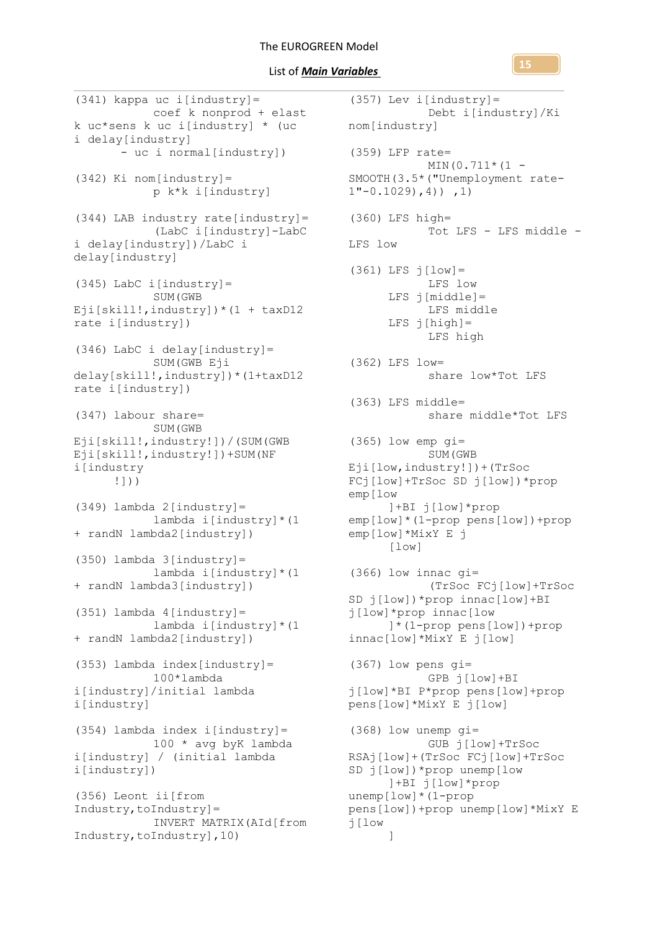### List of *Main Variables*

(341) kappa uc i[industry]= coef k nonprod + elast k uc\*sens k uc i[industry] \* (uc i delay[industry] - uc i normal[industry]) (342) Ki nom[industry]= p k\*k i[industry] (344) LAB industry rate[industry]= (LabC i[industry]-LabC i delay[industry])/LabC i delay[industry] (345) LabC i[industry]= SUM(GWB Eji[skill!, industry])  $*(1 + \text{taxD12})$ rate i[industry]) (346) LabC i delay[industry]= SUM (GWB Eji delay[skill!,industry])\*(1+taxD12 rate i[industry]) (347) labour share= SUM(GWB Eji[skill!,industry!])/(SUM(GWB Eji[skill!,industry!])+SUM(NF i[industry !])) (349) lambda 2[industry]= lambda i[industry]\*(1 + randN lambda2[industry]) (350) lambda 3[industry]= lambda i[industry]\*(1 + randN lambda3[industry])  $(351)$  lambda  $4$ [industry]= lambda i[industry]\*(1 + randN lambda2[industry]) (353) lambda index[industry]= 100\*lambda i[industry]/initial lambda i[industry] (354) lambda index i[industry]= 100 \* avg byK lambda i[industry] / (initial lambda i[industry]) (356) Leont ii[from Industry,toIndustry]= INVERT MATRIX(AId[from Industry,toIndustry],10)

(357) Lev i[industry]= Debt i[industry]/Ki nom[industry] (359) LFP rate=  $MIN(0.711*(1 -$ SMOOTH(3.5\*("Unemployment rate- $1"$ -0.1029),4)),1) (360) LFS high= Tot LFS - LFS middle - LFS low (361) LFS j[low]= LFS low  $LFS$  j[middle]= LFS middle  $LFS$   $j[high]=$ LFS high (362) LFS low= share low\*Tot LFS (363) LFS middle= share middle\*Tot LFS  $(365)$  low emp  $qi=$ SUM(GWB Eji[low,industry!])+(TrSoc FCj[low]+TrSoc SD j[low])\*prop emp[low ]+BI j[low]\*prop emp[low]\*(1-prop pens[low])+prop emp[low]\*MixY E j [low] (366) low innac gi= (TrSoc FCj[low]+TrSoc SD j[low])\*prop innac[low]+BI j[low]\*prop innac[low ]\*(1-prop pens[low])+prop innac[low]\*MixY E j[low] (367) low pens gi= GPB j[low]+BI j[low]\*BI P\*prop pens[low]+prop pens[low]\*MixY E j[low] (368) low unemp gi= GUB j[low]+TrSoc RSAj[low]+(TrSoc FCj[low]+TrSoc SD j[low])\*prop unemp[low ]+BI j[low]\*prop unemp[low]\*(1-prop pens[low])+prop unemp[low]\*MixY E j[low ]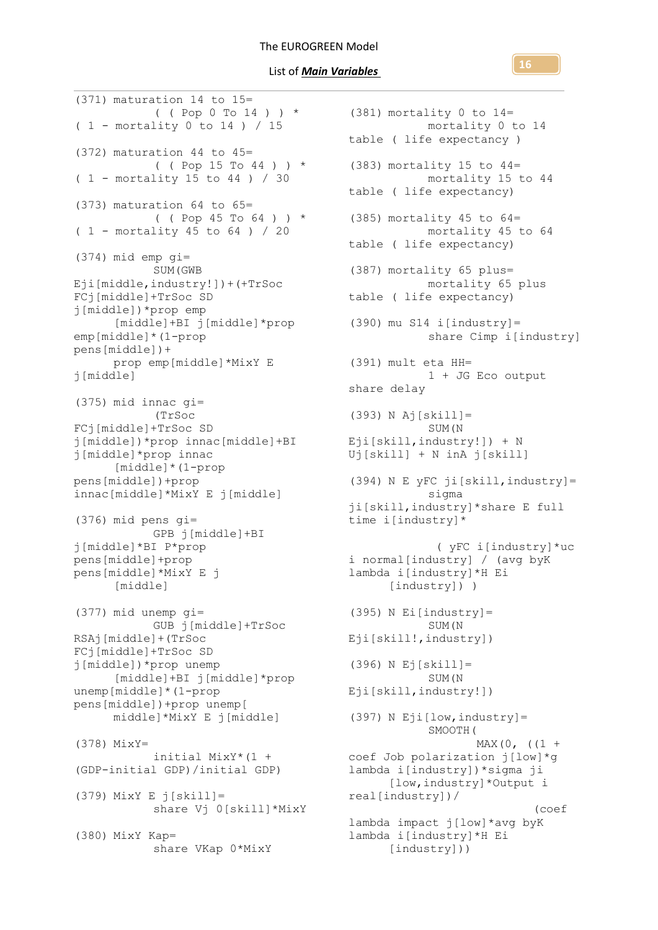(371) maturation 14 to 15= ( ( Pop 0 To 14 ) ) \* ( 1 - mortality 0 to 14 ) / 15 (372) maturation 44 to 45= (  $($  Pop 15 To 44 )  $)$  \*  $(1 -$  mortality 15 to 44 ) / 30 (373) maturation 64 to 65= ( ( Pop 45 To 64 ) ) \* ( 1 - mortality 45 to 64 ) / 20 (374) mid emp gi= SUM(GWB Eji[middle,industry!])+(+TrSoc FCj[middle]+TrSoc SD j[middle])\*prop emp [middle]+BI j[middle]\*prop emp[middle]\*(1-prop pens[middle])+ prop emp[middle]\*MixY E j[middle] (375) mid innac gi= (TrSoc FCj[middle]+TrSoc SD j[middle])\*prop innac[middle]+BI j[middle]\*prop innac [middle]\*(1-prop pens[middle])+prop innac[middle]\*MixY E j[middle] (376) mid pens gi= GPB j[middle]+BI j[middle]\*BI P\*prop pens[middle]+prop pens[middle]\*MixY E j [middle] (377) mid unemp gi= GUB j[middle]+TrSoc RSAj[middle]+(TrSoc FCj[middle]+TrSoc SD j[middle])\*prop unemp [middle]+BI j[middle]\*prop unemp[middle]\*(1-prop pens[middle])+prop unemp[ middle]\*MixY E j[middle] (378) MixY= initial MixY\*(1 + (GDP-initial GDP)/initial GDP) (379) MixY E j[skill]= share Vj 0[skill]\*MixY (380) MixY Kap= share VKap 0\*MixY

(381) mortality 0 to 14= mortality 0 to 14 table ( life expectancy ) (383) mortality 15 to 44= mortality 15 to 44 table ( life expectancy) (385) mortality 45 to  $64=$ mortality 45 to 64 table ( life expectancy) (387) mortality 65 plus= mortality 65 plus table ( life expectancy)  $(390)$  mu S14 i[industry]= share Cimp i[industry] (391) mult eta HH= 1 + JG Eco output share delay (393) N Aj[skill]= SUM(N Eji[skill,industry!]) + N Uj[skill] + N inA j[skill] (394) N E yFC ji[skill,industry]= sigma ji[skill,industry]\*share E full time i[industry]\* ( yFC i[industry]\*uc i normal[industry] / (avg byK lambda i[industry]\*H Ei [industry]) )  $(395)$  N Ei[industry]= SUM(N Eji[skill!,industry]) (396) N Ej[skill]= SUM(N Eji[skill,industry!])  $(397)$  N Eji[low, industry]= SMOOTH(  $MAX(0, (1 +$ coef Job polarization j[low]\*g lambda i[industry])\*sigma ji [low,industry]\*Output i real[industry])/ (coef lambda impact j[low]\*avg byK lambda i[industry]\*H Ei [industry]))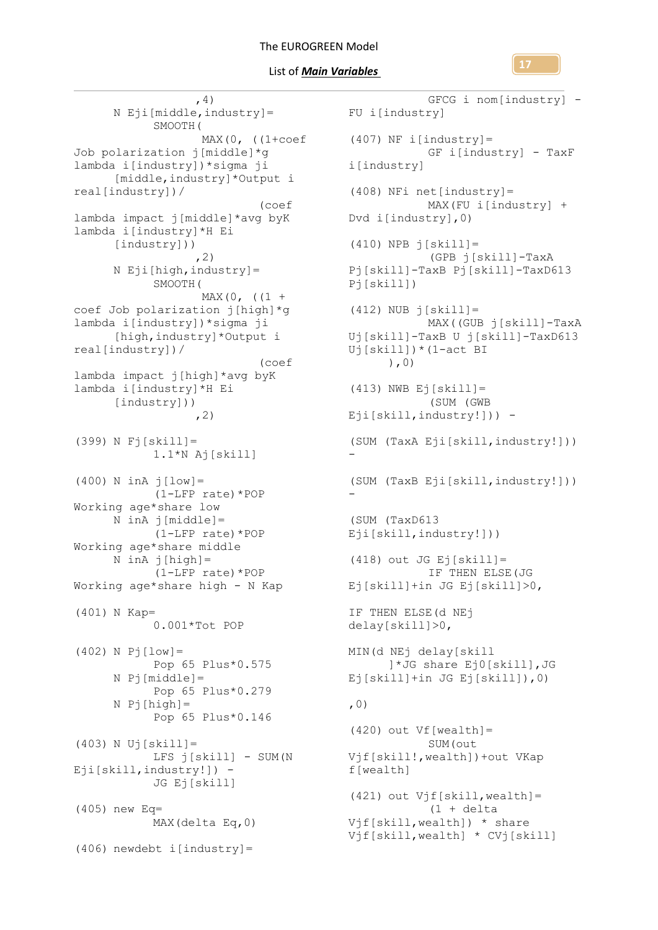

 ,4) N Eji[middle,industry]= SMOOTH( MAX(0, ((1+coef Job polarization j[middle]\*g lambda i[industry])\*sigma ji [middle,industry]\*Output i real[industry])/ (coef lambda impact j[middle]\*avg byK lambda i[industry]\*H Ei [industry]))  $, 2)$ N Eji[high,industry]= SMOOTH(  $MAX(0, (1 +$ coef Job polarization j[high]\*g lambda i[industry])\*sigma ji [high,industry]\*Output i real[industry])/ (coef lambda impact j[high]\*avg byK lambda i[industry]\*H Ei [industry]))  $, 2)$ (399) N Fj[skill]= 1.1\*N Aj[skill] (400) N inA j[low]= (1-LFP rate)\*POP Working age\*share low N inA j[middle]= (1-LFP rate)\*POP Working age\*share middle  $N$  inA  $j[high]=$ (1-LFP rate)\*POP Working age\*share high - N Kap (401) N Kap= 0.001\*Tot POP  $(402)$  N Pj  $[low] =$ Pop 65 Plus\*0.575 N Pj[middle]= Pop 65 Plus\*0.279 N Pj[high]= Pop 65 Plus\*0.146 (403) N Uj[skill]= LFS j[skill] - SUM(N Eji[skill,industry!]) - JG Ej[skill] (405) new Eq= MAX(delta Eq,0) (406) newdebt i[industry]=

```
GFCG i nom[industry] -
 FU i[industry]
 (407) NF i[industry]=
              GF i[industry] - TaxF 
  i[industry]
  (408) NFi net[industry]=
              MAX(FU i[industry] + 
  Dvd i[industry],0)
  (410) NPB \overline{1}[skill]=
             (GPB j[skill]-TaxA 
  Pj[skill]-TaxB Pj[skill]-TaxD613 
  Pj[skill])
  (412) NUB j[skill]=MAX((GUB j[skill]-TaxA 
  Uj[skill]-TaxB U j[skill]-TaxD613 
  Uj[skill])*(1-act BI
        ),0)
  (413) NWB Ej[skill]=
               (SUM (GWB 
  Eji[skill,industry!])) -
  (SUM (TaxA Eji[skill,industry!])) 
  -
  (SUM (TaxB Eji[skill,industry!])) 
  -
  (SUM (TaxD613 
  Eji[skill,industry!]))
  (418) out JG Ej[skill] =
              IF THEN ELSE(JG 
Ej[skill]+in JG Ej[skill]>0,
  IF THEN ELSE(d NEj 
  delay[skill]>0,
  MIN(d NEj delay[skill
        ]*JG share Ej0[skill],JG 
  Ej[skill]+in JG Ej[skill]),0)
  ,0)
  (420) out Vf[wealth] =
              SUM(out 
  Vjf[skill!,wealth])+out VKap 
  f[wealth]
 (421) out Vjf[skill, wealth]=
              (1 + \text{delta})Vjf[skill,wealth]) * share 
  Vjf[skill,wealth] * CVj[skill]
```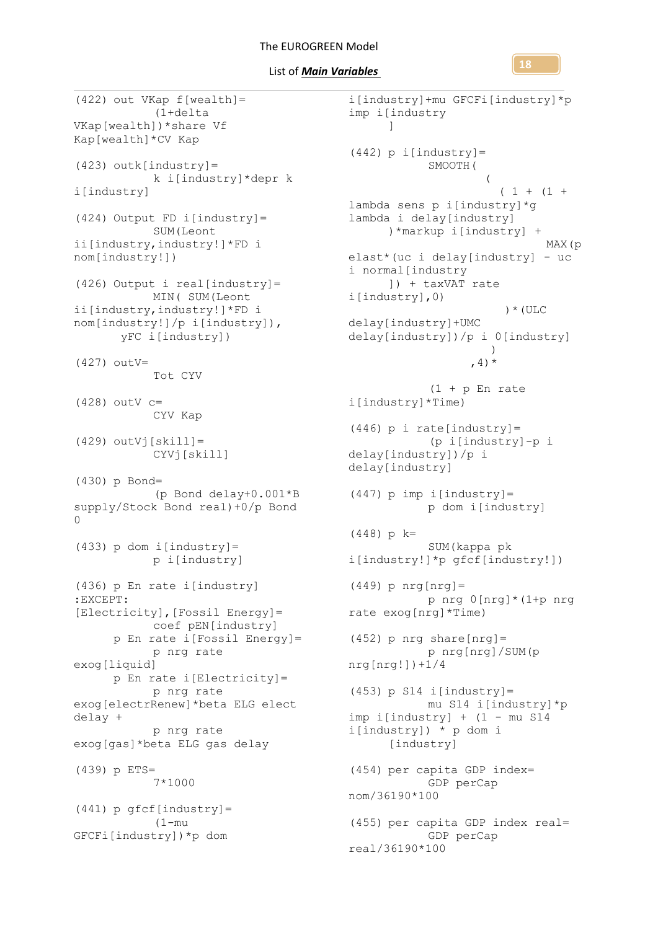List of *Main Variables* 

(422) out VKap f[wealth]= (1+delta VKap[wealth])\*share Vf Kap[wealth]\*CV Kap (423) outk[industry]= k i[industry]\*depr k i[industry] (424) Output FD i[industry]= SUM(Leont ii[industry,industry!]\*FD i nom[industry!]) (426) Output i real[industry]= MIN( SUM(Leont ii[industry,industry!]\*FD i nom[industry!]/p i[industry]), yFC i[industry]) (427) outV= Tot CYV (428) outV c= CYV Kap  $(429)$  outVj $[skill] =$ CYVj[skill] (430) p Bond= (p Bond delay+0.001\*B supply/Stock Bond real)+0/p Bond  $\cap$ (433) p dom i[industry]= p i[industry] (436) p En rate i[industry] :EXCEPT: [Electricity],[Fossil Energy]= coef pEN[industry] p En rate i[Fossil Energy]= p nrg rate exog[liquid] p En rate i[Electricity]= p nrg rate exog[electrRenew]\*beta ELG elect delay + p nrg rate exog[gas]\*beta ELG gas delay (439) p ETS= 7\*1000  $(441)$  p qfcf[industry]= (1-mu GFCFi[industry])\*p dom

i[industry]+mu GFCFi[industry]\*p imp i[industry ]  $(442)$  p i[industry]= SMOOTH(  $\overline{a}$  $(1 + (1 +$ lambda sens p i[industry]\*g lambda i delay[industry] )\*markup i[industry] + MAX(p elast\*(uc i delay[industry] - uc i normal[industry ]) + taxVAT rate i[industry],0) )\*(ULC delay[industry]+UMC delay[industry])/p i 0[industry]  $\overline{\phantom{a}}$ , 4)  $*$  $(1 + p$  En rate i[industry]\*Time)  $(446)$  p i rate[industry]= (p i[industry]-p i delay[industry])/p i delay[industry]  $(447)$  p imp i[industry]= p dom i[industry] (448) p k= SUM(kappa pk i[industry!]\*p gfcf[industry!]) (449) p nrg[nrg]= p nrg 0[nrg]\*(1+p nrg rate exog[nrg]\*Time)  $(452)$  p nrg share[nrg]= p nrg[nrg]/SUM(p nrg[nrg!])+1/4  $(453)$  p S14 i[industry]= mu S14 i[industry]\*p imp i[industry] + (1 - mu S14 i[industry]) \* p dom i [industry] (454) per capita GDP index= GDP perCap nom/36190\*100 (455) per capita GDP index real= GDP perCap real/36190\*100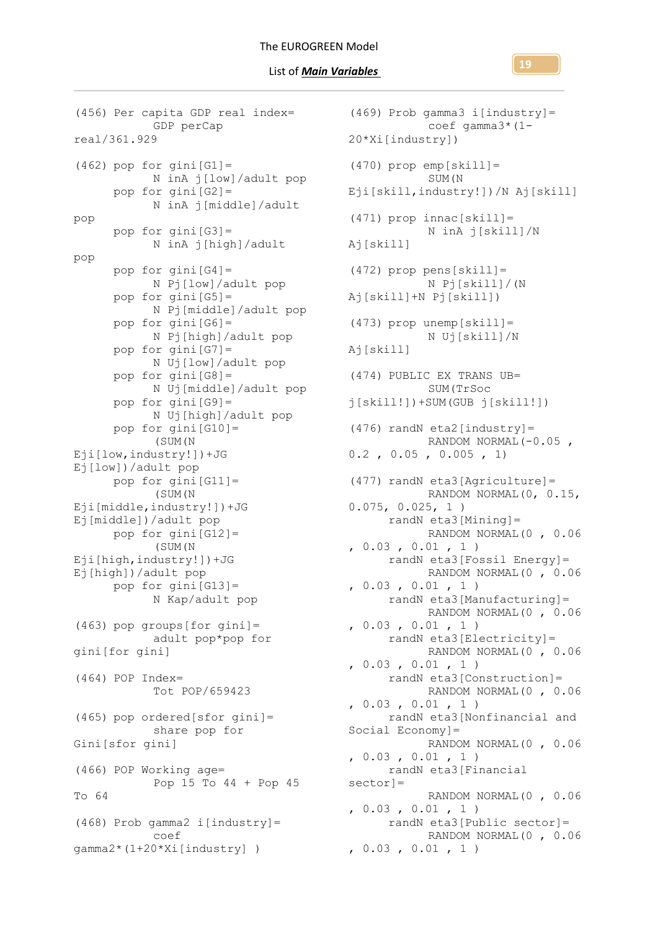(456) Per capita GDP real index= GDP perCap real/361.929  $(462)$  pop for gini $[G1] =$ N inA j[low]/adult pop pop for gini[G2]= N inA j[middle]/adult pop pop for gini[G3]= N inA j[high]/adult pop pop for gini[G4]= N Pj[low]/adult pop pop for  $qini[G5]=$ N Pj[middle]/adult pop pop for gini[G6]= N Pj[high]/adult pop pop for gini[G7]= N Uj[low]/adult pop pop for gini[G8]= N Uj[middle]/adult pop pop for gini[G9]= N Uj[high]/adult pop pop for gini[G10]= (SUM(N Eji[low,industry!])+JG Ej[low])/adult pop pop for gini[G11]= (SUM(N Eji[middle,industry!])+JG Ej[middle])/adult pop pop for gini[G12]= (SUM(N Eji[high,industry!])+JG Ej[high])/adult pop pop for gini[G13]= N Kap/adult pop  $(463)$  pop groups[for gini]= adult pop\*pop for gini[for gini] (464) POP Index= Tot POP/659423 (465) pop ordered[sfor gini]= share pop for Gini[sfor gini] (466) POP Working age= Pop 15 To 44 + Pop 45 To 64  $(468)$  Prob gamma2 i[industry]= coef gamma2\*(1+20\*Xi[industry] )

(469) Prob gamma3 i[industry]= coef gamma3\*(1- 20\*Xi[industry]) (470) prop emp[skill]= SUM(N Eji[skill,industry!])/N Aj[skill]  $(471)$  prop innac[skill]= N inA j[skill]/N Aj[skill] (472) prop pens[skill]= N Pj[skill]/(N Aj[skill]+N Pj[skill]) (473) prop unemp[skill]= N Uj[skill]/N Aj[skill] (474) PUBLIC EX TRANS UB= SUM(TrSoc j[skill!])+SUM(GUB j[skill!])  $(476)$  randN eta2[industry]= RANDOM NORMAL(-0.05, 0.2 , 0.05 , 0.005 , 1) (477) randN eta3[Agriculture]= RANDOM NORMAL(0, 0.15, 0.075, 0.025, 1 ) randN eta3[Mining]= RANDOM NORMAL(0 , 0.06 , 0.03 , 0.01 , 1 ) randN eta3[Fossil Energy]= RANDOM NORMAL(0 , 0.06 , 0.03 , 0.01 , 1 ) randN eta3[Manufacturing]= RANDOM NORMAL(0 , 0.06  $, 0.03$  ,  $0.01$  , 1) randN eta3[Electricity]= RANDOM NORMAL(0 , 0.06 , 0.03 , 0.01 , 1 ) randN eta3[Construction]= RANDOM NORMAL(0 , 0.06 , 0.03 , 0.01 , 1 ) randN eta3[Nonfinancial and Social Economy]= RANDOM NORMAL(0 , 0.06 , 0.03 , 0.01 , 1 ) randN eta3[Financial sector]= RANDOM NORMAL(0 , 0.06 , 0.03 , 0.01 , 1 ) randN eta3[Public sector]= RANDOM NORMAL(0 , 0.06 , 0.03 , 0.01 , 1 )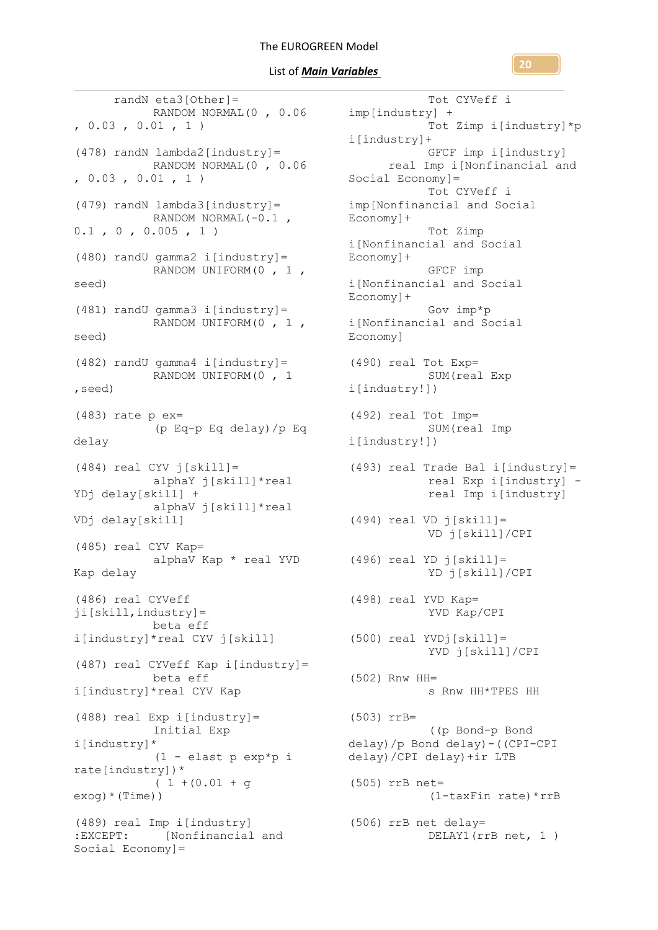randN eta3[Other]= RANDOM NORMAL(0, 0.06 imp[industry] +  $, 0.03, 0.01, 1)$  $(478)$  randN lambda2[industry]= RANDOM NORMAL(0 , 0.06  $, 0.03, 0.01, 1)$ (479) randN lambda3[industry]= RANDOM NORMAL(-0.1 ,  $0.1$ ,  $0$ ,  $0.005$ ,  $1$ ) (480) randU gamma2 i[industry]= RANDOM UNIFORM(0 , 1 , seed) (481) randU gamma3 i[industry]= RANDOM UNIFORM(0 , 1 , seed) (482) randU gamma4 i[industry]= RANDOM UNIFORM(0 , 1 ,seed) (483) rate p ex= (p Eq-p Eq delay)/p Eq delay  $(484)$  real CYV  $\dot{1}$ [skill]= alphaY j[skill]\*real YDj delay[skill] + alphaV j[skill]\*real VDj delay[skill] (485) real CYV Kap= alphaV Kap \* real YVD Kap delay (486) real CYVeff ji[skill,industry]= beta eff i[industry]\*real CYV j[skill] (487) real CYVeff Kap i[industry]= beta eff i[industry]\*real CYV Kap (488) real Exp i[industry]= Initial Exp i[industry]\* (1 - elast p exp\*p i rate[industry])\*  $(1 + (0.01 + q$  $exoq$ ) \* (Time)) (489) real Imp i[industry] :EXCEPT: [Nonfinancial and Social Economy]=

Tot CYVeff i Tot Zimp i[industry]\*p i[industry]+ GFCF imp i[industry] real Imp i[Nonfinancial and Social Economy]= Tot CYVeff i imp[Nonfinancial and Social Economy]+ Tot Zimp i[Nonfinancial and Social Economy]+ GFCF imp i[Nonfinancial and Social Economy]+ Gov imp\*p i[Nonfinancial and Social Economy] (490) real Tot Exp= SUM(real Exp i[industry!]) (492) real Tot Imp= SUM(real Imp i[industry!])  $(493)$  real Trade Bal i[industry]= real Exp i[industry] real Imp i[industry] (494) real VD j[skill]= VD j[skill]/CPI (496) real YD j[skill]= YD j[skill]/CPI (498) real YVD Kap= YVD Kap/CPI (500) real YVDj[skill]= YVD j[skill]/CPI (502) Rnw HH= s Rnw HH\*TPES HH (503) rrB= ((p Bond-p Bond delay)/p Bond delay)-((CPI-CPI delay)/CPI delay)+ir LTB (505) rrB net= (1-taxFin rate)\*rrB (506) rrB net delay= DELAY1(rrB net, 1 )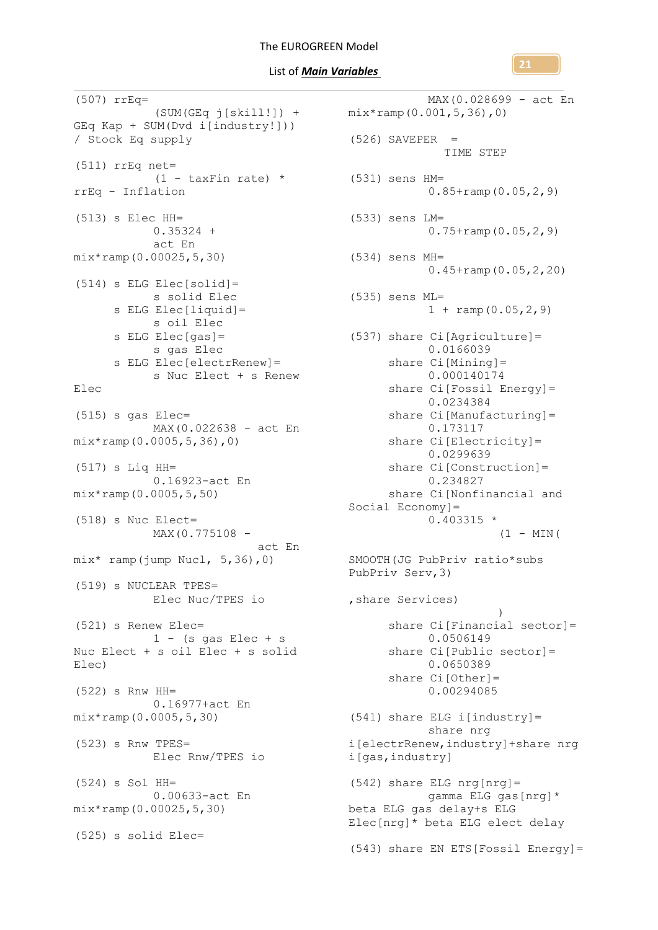(507) rrEq= GEq Kap + SUM(Dvd i[industry!])) / Stock Eq supply (511) rrEq net=  $(1 - \text{taxFin rate})$  \*  $(531)$  sens HM= rrEq - Inflation (513) s Elec HH=  $0.35324 +$ act En mix\*ramp(0.00025,5,30)  $(514)$  s ELG Elec[solid]= s solid Elec s sulle ---<br>s ELG Elec[liquid]= s oil Elec  $s$  ELG Elec $[gas] =$ s gas Elec s ELG Elec[electrRenew]= s Nuc Elect + s Renew Elec (515) s gas Elec= MAX(0.022638 - act En mix\*ramp(0.0005,5,36),0) (517) s Liq HH= 0.16923-act En mix\*ramp(0.0005,5,50) (518) s Nuc Elect= MAX(0.775108 act En mix\* ramp(jump Nucl, 5,36),0) (519) s NUCLEAR TPES= Elec Nuc/TPES io (521) s Renew Elec=  $1 - (s$  gas Elec + s Nuc Elect + s oil Elec + s solid Elec) (522) s Rnw HH= 0.16977+act En mix\*ramp(0.0005,5,30) (523) s Rnw TPES= Elec Rnw/TPES io (524) s Sol HH= 0.00633-act En mix\*ramp(0.00025,5,30) (525) s solid Elec=

(SUM(GEq j[skill!]) + mix\*ramp(0.001,5,36),0) MAX(0.028699 - act En  $(526)$  SAVEPER = TIME STEP 0.85+ramp(0.05,2,9) (533) sens LM=  $0.75 + \text{ramp}(0.05, 2, 9)$ (534) sens MH= 0.45+ramp(0.05,2,20) (535) sens ML=  $1 + \text{ramp}(0.05, 2, 9)$ (537) share Ci[Agriculture]= 0.0166039 share Ci[Mining]= 0.000140174 share Ci[Fossil Energy]= 0.0234384 share Ci[Manufacturing]= 0.173117 share Ci[Electricity]= 0.0299639 share Ci[Construction]= 0.234827 share Ci[Nonfinancial and Social Economy]= 0.403315 \*  $(1 - \text{MIN}($ SMOOTH(JG PubPriv ratio\*subs PubPriv Serv,3) ,share Services) ) share CilFinancial sectorl= 0.0506149 share Ci[Public sector]= 0.0650389 share Ci[Other]= 0.00294085 (541) share ELG i[industry]= share nrg i[electrRenew,industry]+share nrg i[gas,industry] (542) share ELG nrg[nrg]= gamma ELG gas[nrg]\* beta ELG gas delay+s ELG Elec[nrg]\* beta ELG elect delay (543) share EN ETS[Fossil Energy]=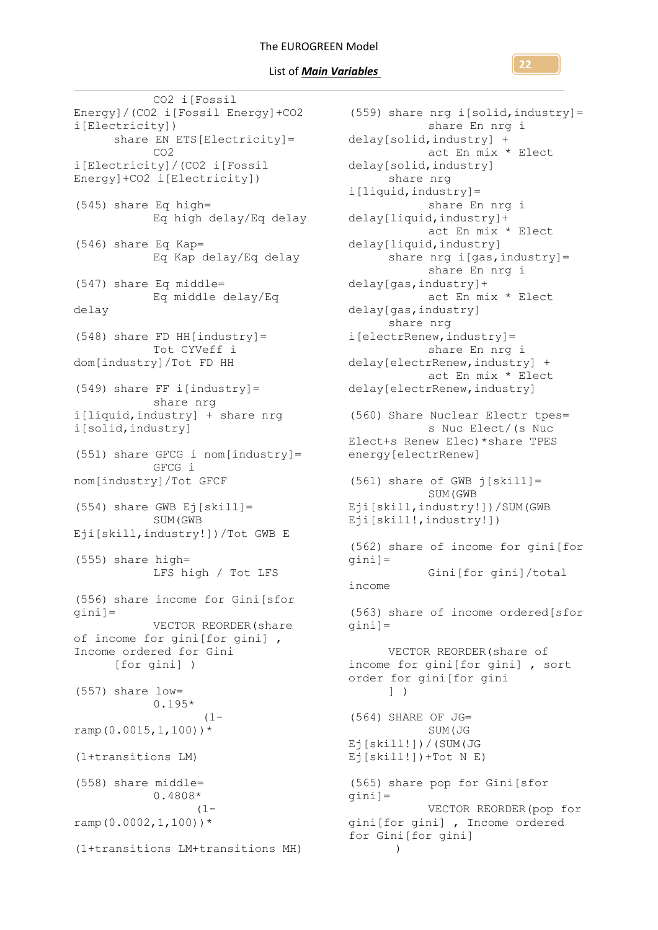CO2 i[Fossil Energy]/(CO2 i[Fossil Energy]+CO2 i[Electricity]) share EN ETS[Electricity]= CO2 i[Electricity]/(CO2 i[Fossil Energy]+CO2 i[Electricity]) (545) share Eq high= Eq high delay/Eq delay (546) share Eq Kap= Eq Kap delay/Eq delay (547) share Eq middle= Eq middle delay/Eq delay (548) share FD HH[industry]= Tot CYVeff i dom[industry]/Tot FD HH (549) share FF i[industry]= share nrg i[liquid,industry] + share nrg i[solid,industry] (551) share GFCG i nom[industry]= GFCG i nom[industry]/Tot GFCF (554) share GWB Ej[skill]= SUM(GWB Eji[skill,industry!])/Tot GWB E (555) share high= LFS high / Tot LFS (556) share income for Gini[sfor gini]= VECTOR REORDER(share of income for gini[for gini] , Income ordered for Gini [for gini] ) (557) share low= 0.195\*  $(1$ ramp $(0.0015, 1, 100)$ )\* (1+transitions LM) (558) share middle= 0.4808\*  $(1$ ramp $(0.0002, 1, 100)$ )\* (1+transitions LM+transitions MH)

(559) share nrg i[solid,industry]= share En nrg i delay[solid,industry] + act En mix \* Elect delay[solid,industry] share nrg i[liquid,industry]= share En nrg i delay[liquid,industry]+ act En mix \* Elect delay[liquid,industry] share nrg i[gas, industry] = share En nrg i delay[gas,industry]+ act En mix \* Elect delay[gas,industry] share nrg i[electrRenew,industry]= share En nrg i delay[electrRenew,industry] + act En mix \* Elect delay[electrRenew,industry] (560) Share Nuclear Electr tpes= s Nuc Elect/(s Nuc Elect+s Renew Elec)\*share TPES energy[electrRenew] (561) share of GWB j[skill]= SUM(GWB Eji[skill,industry!])/SUM(GWB Eji[skill!,industry!]) (562) share of income for gini[for gini]= Gini[for gini]/total income (563) share of income ordered[sfor gini]= VECTOR REORDER(share of income for gini[for gini] , sort order for gini[for gini ] ) (564) SHARE OF JG= SUM(JG Ej[skill!])/(SUM(JG  $Ej[skill!)$  +Tot N E) (565) share pop for Gini[sfor gini]= VECTOR REORDER(pop for gini[for gini] , Income ordered for Gini[for gini] )

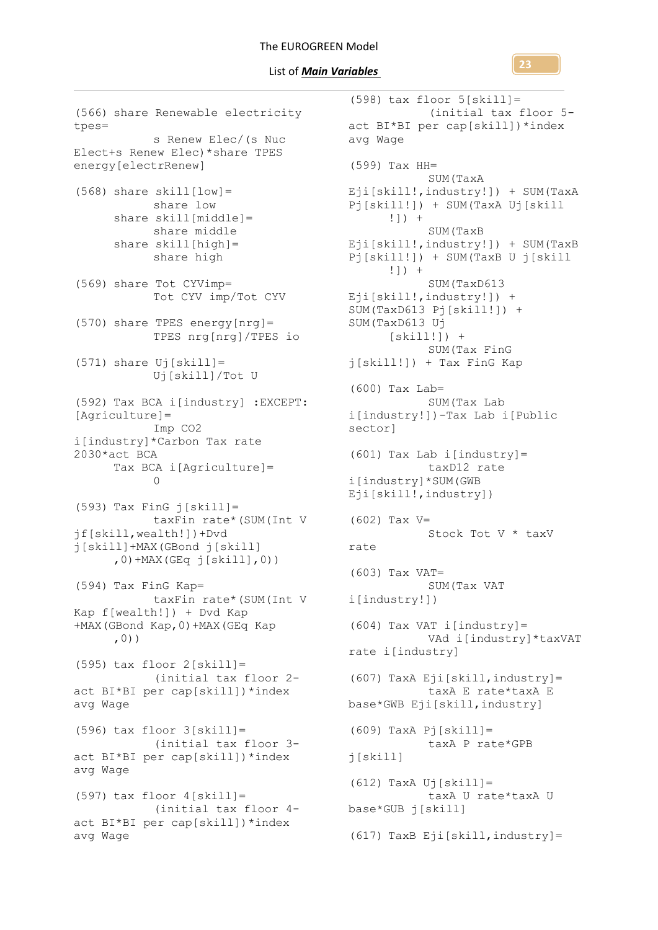tpes= s Renew Elec/(s Nuc Elect+s Renew Elec)\*share TPES energy[electrRenew]  $(568)$  share skill[low]= share low share skill[middle]= share middle share  $skill[high] =$ share high (569) share Tot CYVimp= Tot CYV imp/Tot CYV (570) share TPES energy[nrg]= TPES nrg[nrg]/TPES io  $(571)$  share Uj[skill] = Uj[skill]/Tot U (592) Tax BCA i[industry] :EXCEPT: [Agriculture]= Imp CO2 i[industry]\*Carbon Tax rate 2030\*act BCA Tax BCA i[Agriculture]=  $\cap$ (593) Tax FinG j[skill]= taxFin rate\*(SUM(Int V jf[skill,wealth!])+Dvd j[skill]+MAX(GBond j[skill]  $,0)$  +MAX(GEq  $j[skill]$ ,0)) (594) Tax FinG Kap= taxFin rate\*(SUM(Int V Kap f[wealth!]) + Dvd Kap +MAX(GBond Kap,0)+MAX(GEq Kap ,0)) (595) tax floor 2[skill]= (initial tax floor 2 act BI\*BI per cap[skill])\*index avg Wage (596) tax floor 3[skill]= (initial tax floor 3 act BI\*BI per cap[skill])\*index avg Wage (597) tax floor 4[skill]= (initial tax floor 4 act BI\*BI per cap[skill])\*index avg Wage

(566) share Renewable electricity

```
(598) tax floor 5[skill]=
            (initial tax floor 5-
act BI*BI per cap[skill])*index 
avg Wage
(599) Tax HH=
            SUM(TaxA 
Eji[skill!,industry!]) + SUM(TaxA 
Pj[skill!]) + SUM(TaxA Uj[skill
      !]) + 
            SUM(TaxB 
Eji[skill!,industry!]) + SUM(TaxB 
Pj[skill!]) + SUM(TaxB U j[skill
      !]) +
            SUM(TaxD613 
Eji[skill!, industry!]) +
SUM(TaxD613 Pj[skill!]) + 
SUM(TaxD613 Uj
      [skill!) +
            SUM(Tax FinG 
j[skill!]) + Tax FinG Kap
(600) Tax Lab=
            SUM(Tax Lab 
i[industry!])-Tax Lab i[Public 
sector]
(601) Tax Lab i[industry]=
            taxD12 rate 
i[industry]*SUM(GWB 
Eji[skill!,industry])
(602) Tax V=
            Stock Tot V * taxV 
rate
(603) Tax VAT=
            SUM(Tax VAT 
i[industry!])
(604) Tax VAT i[industry]=
            VAd i[industry]*taxVAT 
rate i[industry]
(607) TaxA Eji[skill,industry]=
            taxA E rate*taxA E 
base*GWB Eji[skill,industry]
(609) TaxA Pj[skill]=
            taxA P rate*GPB 
j[skill]
(612) TaxA Uj[skill]=
            taxA U rate*taxA U 
base*GUB j[skill]
(617) TaxB Eji[skill,industry]=
```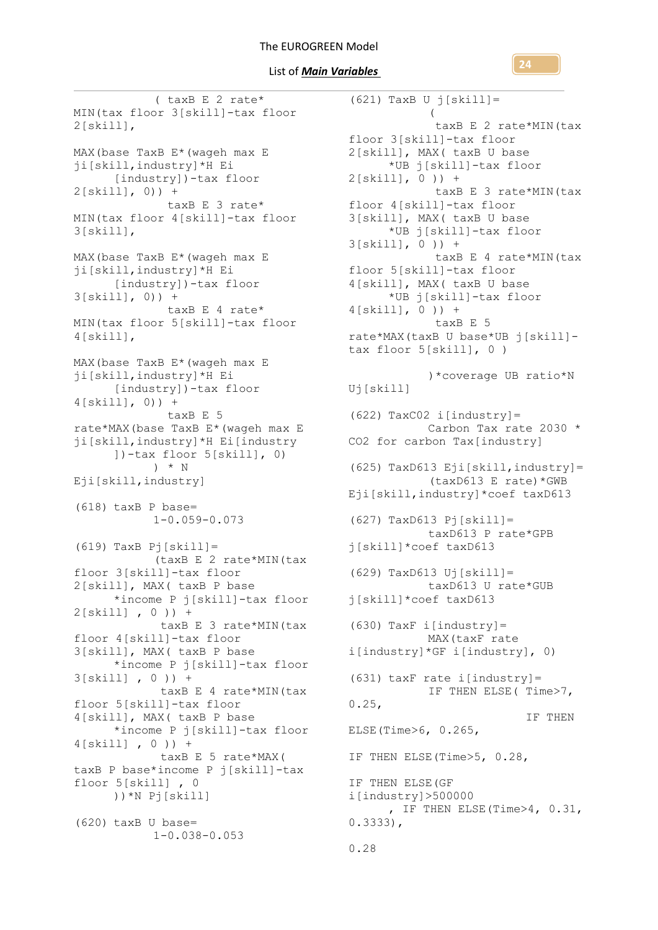#### List of *Main Variables*

( taxB E 2 rate\* MIN(tax floor 3[skill]-tax floor 2[skill], MAX(base TaxB E\*(wageh max E ji[skill,industry]\*H Ei [industry])-tax floor  $2[skill, 0)] +$  taxB E 3 rate\* MIN(tax floor 4[skill]-tax floor 3[skill], MAX(base TaxB E<sup>\*</sup>(waqeh max E ji[skill,industry]\*H Ei [industry])-tax floor 3[skill], 0)) + taxB E 4 rate\* MIN(tax floor 5[skill]-tax floor 4[skill], MAX(base TaxB E\*(wageh max E ji[skill,industry]\*H Ei [industry])-tax floor 4[skill], 0)) + taxB E 5 rate\*MAX(base TaxB E\*(wageh max E ji[skill,industry]\*H Ei[industry ])-tax floor 5[skill], 0) ) \* N Eji[skill,industry] (618) taxB P base= 1-0.059-0.073 (619) TaxB Pj[skill]= (taxB E 2 rate\*MIN(tax floor 3[skill]-tax floor 2[skill], MAX( taxB P base \*income P j[skill]-tax floor 2[skill] , 0 )) + taxB E 3 rate\*MIN(tax floor 4[skill]-tax floor 3[skill], MAX( taxB P base \*income P j[skill]-tax floor 3[skill] , 0 )) + taxB E 4 rate\*MIN(tax floor 5[skill]-tax floor 4[skill], MAX( taxB P base \*income P j[skill]-tax floor 4[skill] , 0 )) + taxB E 5 rate\*MAX( taxB P base\*income P j[skill]-tax floor 5[skill] , 0 ))\*N Pj[skill] (620) taxB U base= 1-0.038-0.053

(621) TaxB U j[skill]=  $\overline{a}$ taxB E 2 rate\*MIN(tax floor 3[skill]-tax floor 2[skill], MAX( taxB U base \*UB j[skill]-tax floor 2[skill], 0 )) + taxB E 3 rate\*MIN(tax floor 4[skill]-tax floor 3[skill], MAX( taxB U base \*UB j[skill]-tax floor 3[skill], 0 )) + taxB E 4 rate\*MIN(tax floor 5[skill]-tax floor 4[skill], MAX( taxB U base \*UB j[skill]-tax floor 4[skill], 0 )) + taxB E 5 rate\*MAX(taxB U base\*UB j[skill] tax floor 5[skill], 0 ) )\*coverage UB ratio\*N Uj[skill] (622) TaxC02 i[industry]= Carbon Tax rate 2030 \* CO2 for carbon Tax[industry] (625) TaxD613 Eji[skill, industry] = (taxD613 E rate)\*GWB Eji[skill,industry]\*coef taxD613 (627) TaxD613 Pj[skill]= taxD613 P rate\*GPB j[skill]\*coef taxD613 (629) TaxD613 Uj[skill]= taxD613 U rate\*GUB j[skill]\*coef taxD613  $(630)$  TaxF i[industry]= MAX(taxF rate i[industry]\*GF i[industry], 0)  $(631)$  taxF rate i[industry] = IF THEN ELSE( Time>7,  $0.25,$  IF THEN ELSE(Time>6, 0.265, IF THEN ELSE(Time>5, 0.28, IF THEN ELSE(GF i[industry]>500000 , IF THEN ELSE(Time>4, 0.31, 0.3333), 0.28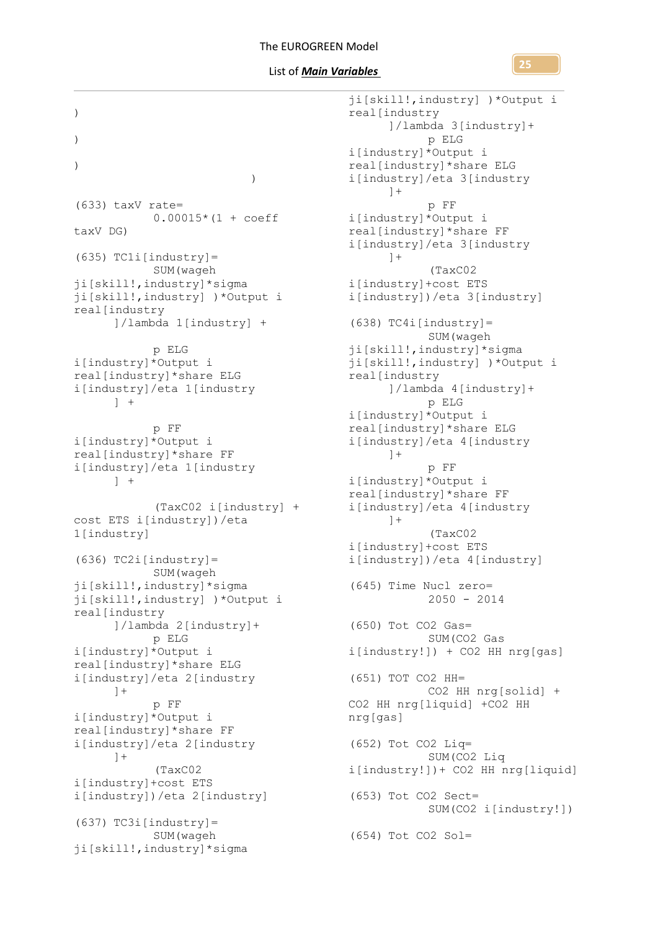**25**

) ) )  $\overline{\phantom{a}}$ (633) taxV rate=  $0.00015*(1 + \text{coeff}$ taxV DG)  $(635)$  TCli[industry] = SUM(wageh ji[skill!,industry]\*sigma ji[skill!,industry] )\*Output i real[industry ]/lambda 1[industry] + p ELG i[industry]\*Output i real[industry]\*share ELG i[industry]/eta 1[industry  $] +$ p FF i[industry]\*Output i real[industry]\*share FF i[industry]/eta 1[industry  $\left| \quad \right|$ (TaxC02 i[industry] + cost ETS i[industry])/eta 1[industry]  $(636)$  TC2i[industry] = SUM(wageh ji[skill!,industry]\*sigma ji[skill!,industry] )\*Output i real[industry ]/lambda 2[industry]+ p ELG i[industry]\*Output i real[industry]\*share ELG i[industry]/eta 2[industry  $]+$ p FF i[industry]\*Output i real[industry]\*share FF i[industry]/eta 2[industry  $1+$ (TaxC02 i[industry]+cost ETS i[industry])/eta 2[industry]  $(637)$  TC3i[industry]= SUM(wageh ji[skill!,industry]\*sigma

ji[skill!,industry] )\*Output i real[industry ]/lambda 3[industry]+ p ELG i[industry]\*Output i real[industry]\*share ELG i[industry]/eta 3[industry  $] +$ p FF i[industry]\*Output i real[industry]\*share FF i[industry]/eta 3[industry  $] +$ (TaxC02 i[industry]+cost ETS i[industry])/eta 3[industry]  $(638)$  TC4i[industry]= SUM(wageh ji[skill!,industry]\*sigma ji[skill!,industry] )\*Output i real[industry ]/lambda 4[industry]+ p ELG i[industry]\*Output i real[industry]\*share ELG i[industry]/eta 4[industry  $\left| +\right|$ p FF i[industry]\*Output i real[industry]\*share FF i[industry]/eta 4[industry  $] +$ (TaxC02 i[industry]+cost ETS i[industry])/eta 4[industry] (645) Time Nucl zero= 2050 - 2014 (650) Tot CO2 Gas= SUM(CO2 Gas i[industry!]) + CO2 HH nrg[gas] (651) TOT CO2 HH= CO2 HH nrg[solid] + CO2 HH nrg[liquid] +CO2 HH nrg[gas] (652) Tot CO2 Liq= SUM(CO2 Liq i[industry!])+ CO2 HH nrg[liquid] (653) Tot CO2 Sect= SUM(CO2 i[industry!]) (654) Tot CO2 Sol=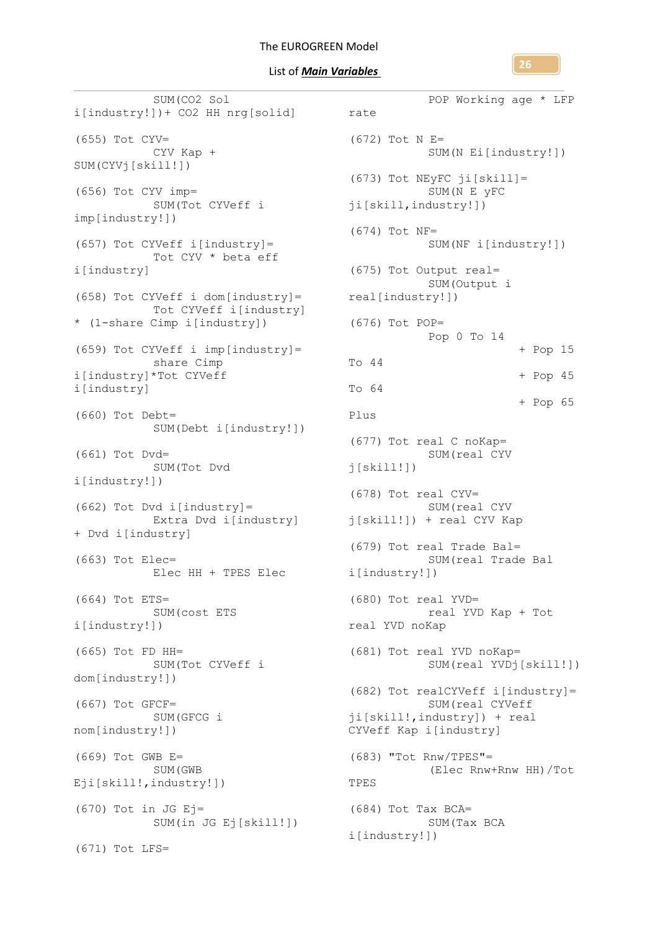**26**

SUM(CO2 Sol i[industry!])+ CO2 HH nrg[solid] (655) Tot CYV= CYV Kap + SUM(CYVj[skill!]) (656) Tot CYV imp= SUM(Tot CYVeff i imp[industry!]) (657) Tot CYVeff i[industry]= Tot CYV \* beta eff i[industry] (658) Tot CYVeff i dom[industry]= Tot CYVeff i[industry] \* (1-share Cimp i[industry]) (659) Tot CYVeff i imp[industry]= share Cimp i[industry]\*Tot CYVeff i[industry] (660) Tot Debt= SUM(Debt i[industry!]) (661) Tot Dvd= SUM(Tot Dvd i[industry!]) (662) Tot Dvd i[industry]= Extra Dvd i[industry] + Dvd i[industry] (663) Tot Elec= Elec HH + TPES Elec (664) Tot ETS= SUM(cost ETS i[industry!]) (665) Tot FD HH= SUM(Tot CYVeff i dom[industry!]) (667) Tot GFCF= SUM(GFCG i nom[industry!]) (669) Tot GWB E= SUM(GWB Eji[skill!,industry!])  $(670)$  Tot in JG Ej= SUM(in JG Ej[skill!]) (671) Tot LFS=

```
POP Working age * LFP 
rate
  (672) Tot N E=
             SUM(N Ei[industry!])
  (673) Tot NEyFC ji[skill]=
              SUM(N E yFC 
 ji[skill,industry!])
  (674) Tot NF=
             SUM(NF i[industry!])
  (675) Tot Output real=
             SUM(Output i 
 real[industry!])
 (676) Tot POP=
             Pop 0 To 14 
                            + Pop 15 
 To 44 
                            + Pop 45 
 To 64 
                            + Pop 65 
 Plus
  (677) Tot real C noKap=
             SUM(real CYV 
  j[skill!](678) Tot real CYV=
             SUM(real CYV 
 j[skill!]) + real CYV Kap
  (679) Tot real Trade Bal=
             SUM(real Trade Bal 
 i[industry!])
  (680) Tot real YVD=
             real YVD Kap + Tot 
 real YVD noKap
 (681) Tot real YVD noKap=
             SUM(real YVDj[skill!])
 (682) Tot realCYVeff i[industry]=
             SUM(real CYVeff 
  ji[skill!,industry]) + real 
 CYVeff Kap i[industry]
 (683) "Tot Rnw/TPES"=
             (Elec Rnw+Rnw HH)/Tot 
 TPES
 (684) Tot Tax BCA=
             SUM(Tax BCA 
 i[industry!])
```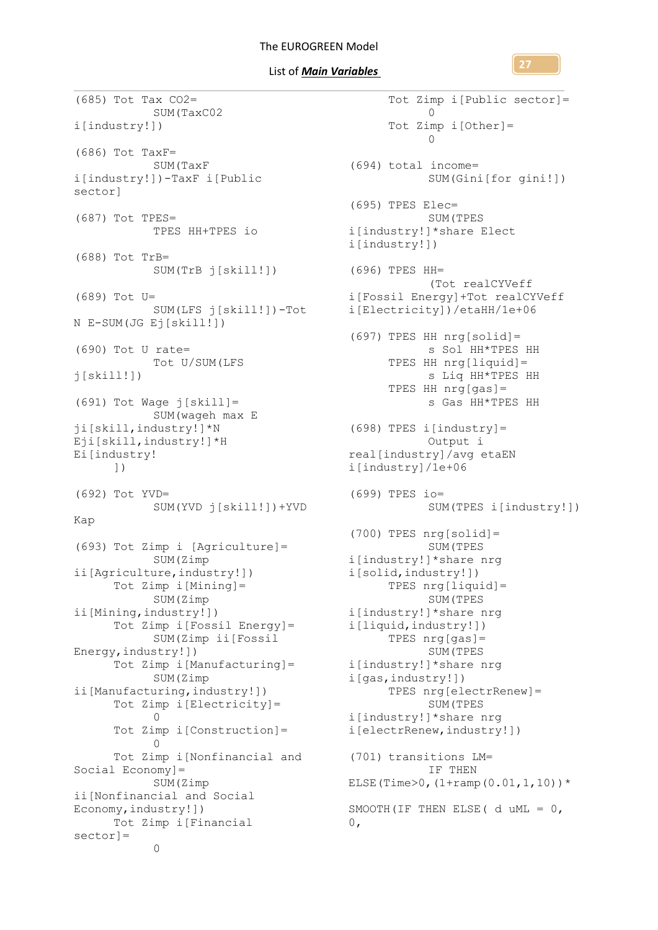List of *Main Variables* 

**27**

Tot Zimp i[Public sector]=

 $\Omega$ 

(685) Tot Tax CO2= SUM(TaxC02 i[industry!]) (686) Tot TaxF= SUM(TaxF i[industry!])-TaxF i[Public sector] (687) Tot TPES= TPES HH+TPES io (688) Tot TrB= SUM(TrB j[skill!]) (689) Tot U= SUM(LFS j[skill!])-Tot N E-SUM(JG Ej[skill!]) (690) Tot U rate= Tot U/SUM(LFS  $j[skill!]$ (691) Tot Wage j[skill]= SUM(wageh max E ji[skill,industry!]\*N Eji[skill,industry!]\*H Ei[industry! ]) (692) Tot YVD= SUM(YVD j[skill!])+YVD Kap (693) Tot Zimp i [Agriculture]= SUM(Zimp ii[Agriculture,industry!]) Tot Zimp i[Mining]= SUM(Zimp ii[Mining,industry!]) Tot Zimp i[Fossil Energy]= SUM(Zimp ii[Fossil Energy,industry!]) Tot Zimp i[Manufacturing]= SUM(Zimp ii[Manufacturing,industry!]) Tot Zimp i[Electricity]=  $\cap$ Tot Zimp i[Construction]=  $\Omega$ Tot Zimp i[Nonfinancial and Social Economy]= SUM(Zimp ii[Nonfinancial and Social Economy,industry!]) Tot Zimp i[Financial sector]=  $\Omega$ 

Tot Zimp i[Other]=  $\cap$ (694) total income= SUM(Gini[for gini!]) (695) TPES Elec= SUM(TPES i[industry!]\*share Elect i[industry!]) (696) TPES HH= (Tot realCYVeff i[Fossil Energy]+Tot realCYVeff i[Electricity])/etaHH/1e+06 (697) TPES HH nrg[solid]= s Sol HH\*TPES HH TPES HH nrg[liquid]= s Liq HH\*TPES HH TPES HH nrg[gas]= s Gas HH\*TPES HH (698) TPES i[industry]= Output i real[industry]/avg etaEN i[industry]/1e+06 (699) TPES io= SUM(TPES i[industry!]) (700) TPES nrg[solid]= SUM(TPES i[industry!]\*share nrg i[solid,industry!]) TPES nrg[liquid]= SUM(TPES i[industry!]\*share nrg i[liquid,industry!]) TPES nrg[gas]= SUM(TPES i[industry!]\*share nrg i[gas,industry!]) TPES nrg[electrRenew]= SUM(TPES i[industry!]\*share nrg i[electrRenew,industry!]) (701) transitions LM= IF THEN ELSE(Time>0,  $(1+ramp(0.01,1,10))^*$ SMOOTH(IF THEN ELSE( d uML = 0, 0,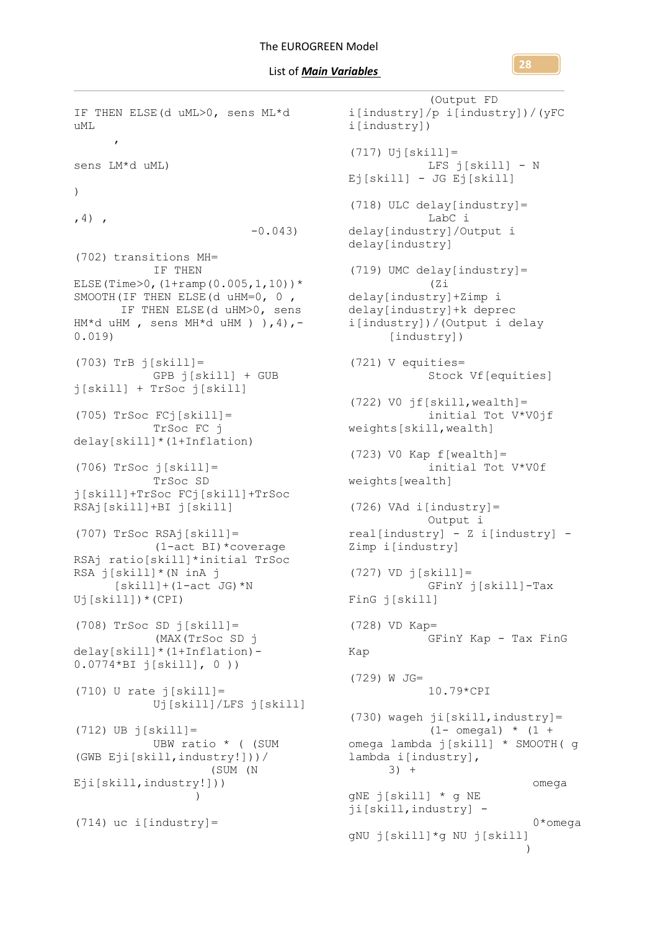IF THEN ELSE(d uML>0, sens ML\*d uML , sens LM\*d uML) )  $, 4)$ , -0.043) (702) transitions MH= IF THEN ELSE(Time>0,  $(1+ramp(0.005,1,10))^*$ SMOOTH(IF THEN ELSE(d uHM=0, 0 , IF THEN ELSE(d uHM>0, sens  $HM*d uHM$ , sens  $MH*d uHM)$  ), 4), -0.019)  $(703)$  TrB  $\overline{1}$ [skill]= GPB j[skill] + GUB j[skill] + TrSoc j[skill] (705) TrSoc FCj[skill]= TrSoc FC j delay[skill]\*(1+Inflation)  $(706)$  TrSoc  $\overline{1}[skill]=$ TrSoc SD j[skill]+TrSoc FCj[skill]+TrSoc RSAj[skill]+BI j[skill] (707) TrSoc RSAj[skill]= (1-act BI)\*coverage RSAj ratio[skill]\*initial TrSoc RSA j[skill]\*(N inA j  $[skill+(1-act JG)*N]$ Uj[skill])\*(CPI) (708) TrSoc SD j[skill]= (MAX(TrSoc SD j delay[skill]\*(1+Inflation)- 0.0774\*BI j[skill], 0 ))  $(710)$  U rate  $j[skill]=$ Uj[skill]/LFS j[skill]  $(712)$  UB  $j[skill]=$ UBW ratio \* ( (SUM (GWB Eji[skill,industry!]))/ (SUM (N Eji[skill,industry!])) )  $(714)$  uc i[industry]=

(Output FD i[industry]/p i[industry])/(yFC i[industry])  $(717)$  Uj[skill]= LFS j[skill] - N Ej[skill] - JG Ej[skill] (718) ULC delay[industry]= LabC i delay[industry]/Output i delay[industry] (719) UMC delay[industry]= (Zi delay[industry]+Zimp i delay[industry]+k deprec i[industry])/(Output i delay [industry]) (721) V equities= Stock Vf[equities]  $(722)$  VO jf[skill, wealth] = initial Tot V\*V0jf weights[skill,wealth] (723) V0 Kap f[wealth]= initial Tot V\*V0f weights[wealth] (726) VAd i[industry]= Output i real[industry] - Z i[industry] - Zimp i[industry]  $(727)$  VD  $\dot{1}$ [skill]= GFinY j[skill]-Tax FinG j[skill] (728) VD Kap= GFinY Kap - Tax FinG Kap (729) W JG= 10.79\*CPI (730) wageh ji[skill,industry]=  $(1 - \text{omega1})$  \*  $(1 +$ omega lambda j[skill] \* SMOOTH( g lambda i[industry], 3) + omega gNE j[skill] \* g NE ji[skill,industry] - 0\*omega gNU j[skill]\*g NU j[skill]  $\overline{\phantom{a}}$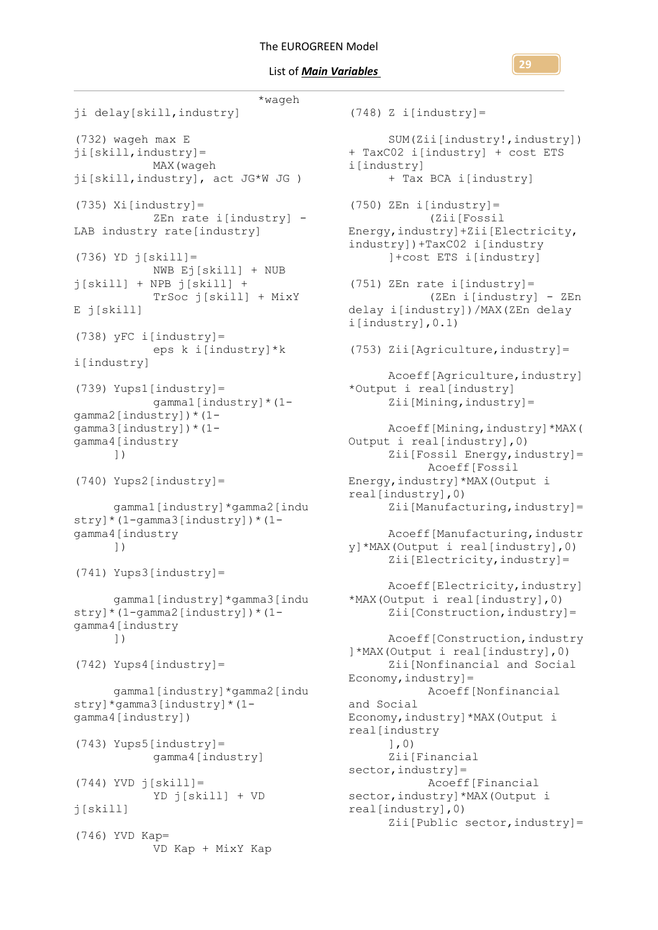```
 *wageh 
ji delay[skill,industry]
(732) wageh max E 
ji[skill,industry]=
           MAX(wageh 
ji[skill,industry], act JG*W JG )
(735) Xi[industry]=
           ZEn rate i[industry] -
LAB industry rate[industry]
(736) YD j[skill]=
           NWB Ej[skill] + NUB 
j[skill] + NPB j[skill] + 
           TrSoc j[skill] + MixY 
E j[skill]
(738) yFC i[industry]=
           eps k i[industry]*k 
i[industry]
(739) Yups1[industry]=
           gamma1[industry]*(1-
gamma2[industry])*(1-
gamma3[industry])*(1-
gamma4[industry
     ])
(740) Yups2[industry]=
     gamma1[industry]*gamma2[indu
stry]*(1-gamma3[industry])*(1-
gamma4[industry
      ])
(741) Yups3[industry]=
     gamma1[industry]*gamma3[indu
stry]*(1-gamma2[industry])*(1-
gamma4[industry
      ])
(742) Yups4[industry]=
     gamma1[industry]*gamma2[indu
stry]*gamma3[industry]*(1-
gamma4[industry])
(743) Yups5[industry]=
           gamma4[industry]
(744) YVD j[skill]=YD j[skill] + VD 
j[skill]
(746) YVD Kap=
           VD Kap + MixY Kap
```

```
(748) Z i[industry] =
      SUM(Zii[industry!,industry]) 
+ TaxC02 i[industry] + cost ETS 
i[industry]
      + Tax BCA i[industry]
(750) ZEn i[industry]=
            (Zii[Fossil 
Energy,industry]+Zii[Electricity,
industry])+TaxC02 i[industry
      ]+cost ETS i[industry]
(751) ZEn rate i[industry]=
            (ZEn i[industry] - ZEn 
delay i[industry])/MAX(ZEn delay 
i[industry],0.1)
(753) Zii[Agriculture,industry]=
      Acoeff[Agriculture,industry]
*Output i real[industry]
      Zii[Mining,industry]=
      Acoeff[Mining,industry]*MAX(
Output i real[industry],0)
      Zii[Fossil Energy, industry] =
           Acoeff[Fossil 
Energy,industry]*MAX(Output i 
real[industry],0)
      Zii[Manufacturing, industry] =
     Acoeff[Manufacturing, industr
y]*MAX(Output i real[industry],0)
      Zii[Electricity, industry] =Acoeff[Electricity,industry]
*MAX(Output i real[industry],0)
      Zii[Construction, industry] =
      Acoeff[Construction,industry
]*MAX(Output i real[industry],0)
      Zii[Nonfinancial and Social 
Economy, industry] =
            Acoeff[Nonfinancial 
and Social 
Economy,industry]*MAX(Output i 
real[industry
      ],0)
      Zii[Financial 
sector, industry] =
           Acoeff[Financial 
sector, industry] *MAX (Output i
real[industry],0)
      Zii[Public sector, industry] =
```